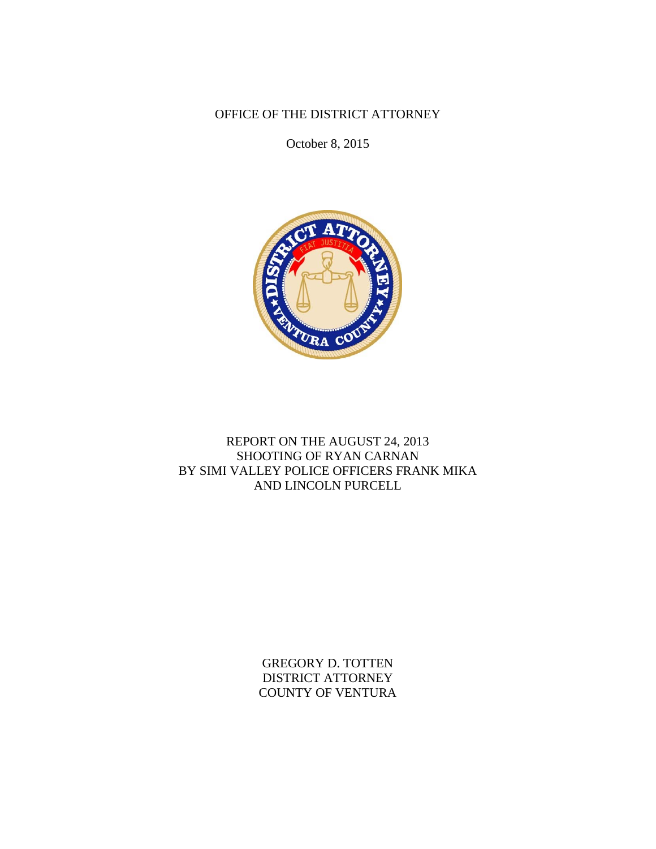OFFICE OF THE DISTRICT ATTORNEY

October 8, 2015



## REPORT ON THE AUGUST 24, 2013 SHOOTING OF RYAN CARNAN BY SIMI VALLEY POLICE OFFICERS FRANK MIKA AND LINCOLN PURCELL

GREGORY D. TOTTEN DISTRICT ATTORNEY COUNTY OF VENTURA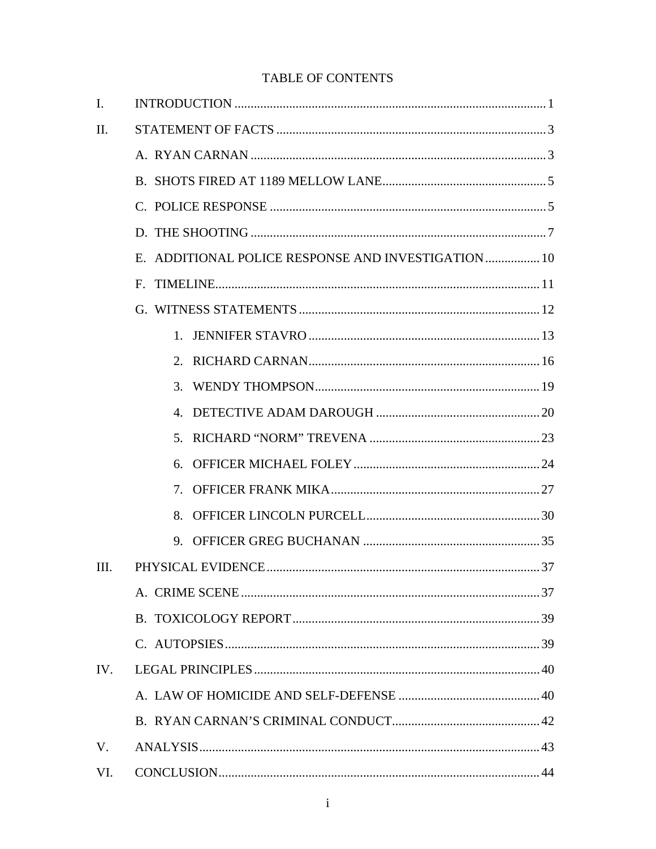# **TABLE OF CONTENTS**

| $\mathbf{I}$ . |                                                    |  |
|----------------|----------------------------------------------------|--|
| II.            |                                                    |  |
|                |                                                    |  |
|                |                                                    |  |
|                |                                                    |  |
|                |                                                    |  |
|                | E. ADDITIONAL POLICE RESPONSE AND INVESTIGATION 10 |  |
|                | $F_{\perp}$                                        |  |
|                |                                                    |  |
|                | $1_{-}$                                            |  |
|                | 2                                                  |  |
|                | $\mathcal{R}_{\alpha}$                             |  |
|                | 4                                                  |  |
|                | .5                                                 |  |
|                | 6.                                                 |  |
|                | $7_{\scriptscriptstyle{\circ}}$                    |  |
|                | 8.                                                 |  |
|                | 9.                                                 |  |
| Ш.             |                                                    |  |
|                |                                                    |  |
|                |                                                    |  |
|                |                                                    |  |
| IV.            |                                                    |  |
|                |                                                    |  |
|                |                                                    |  |
| V.             |                                                    |  |
| VI.            |                                                    |  |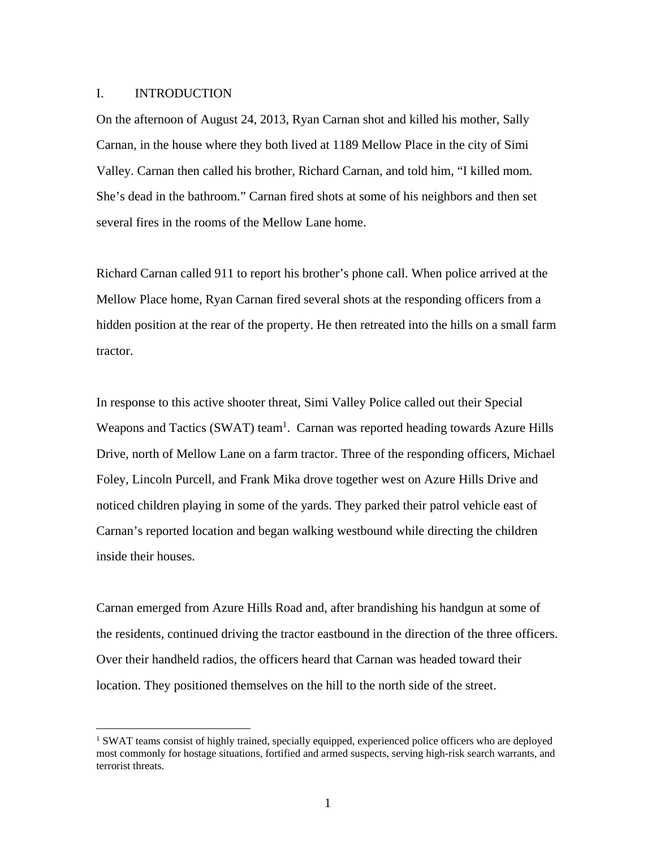#### I. INTRODUCTION

 $\overline{a}$ 

On the afternoon of August 24, 2013, Ryan Carnan shot and killed his mother, Sally Carnan, in the house where they both lived at 1189 Mellow Place in the city of Simi Valley. Carnan then called his brother, Richard Carnan, and told him, "I killed mom. She's dead in the bathroom." Carnan fired shots at some of his neighbors and then set several fires in the rooms of the Mellow Lane home.

Richard Carnan called 911 to report his brother's phone call. When police arrived at the Mellow Place home, Ryan Carnan fired several shots at the responding officers from a hidden position at the rear of the property. He then retreated into the hills on a small farm tractor.

In response to this active shooter threat, Simi Valley Police called out their Special Weapons and Tactics (SWAT) team<sup>1</sup>. Carnan was reported heading towards Azure Hills Drive, north of Mellow Lane on a farm tractor. Three of the responding officers, Michael Foley, Lincoln Purcell, and Frank Mika drove together west on Azure Hills Drive and noticed children playing in some of the yards. They parked their patrol vehicle east of Carnan's reported location and began walking westbound while directing the children inside their houses.

Carnan emerged from Azure Hills Road and, after brandishing his handgun at some of the residents, continued driving the tractor eastbound in the direction of the three officers. Over their handheld radios, the officers heard that Carnan was headed toward their location. They positioned themselves on the hill to the north side of the street.

<sup>&</sup>lt;sup>1</sup> SWAT teams consist of highly trained, specially equipped, experienced police officers who are deployed most commonly for hostage situations, fortified and armed suspects, serving high-risk search warrants, and terrorist threats.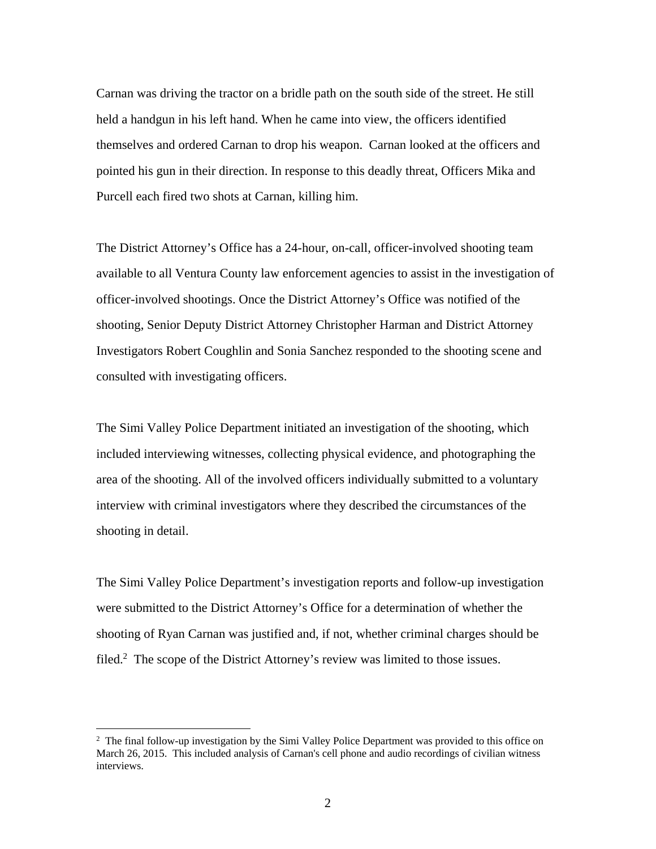Carnan was driving the tractor on a bridle path on the south side of the street. He still held a handgun in his left hand. When he came into view, the officers identified themselves and ordered Carnan to drop his weapon. Carnan looked at the officers and pointed his gun in their direction. In response to this deadly threat, Officers Mika and Purcell each fired two shots at Carnan, killing him.

The District Attorney's Office has a 24-hour, on-call, officer-involved shooting team available to all Ventura County law enforcement agencies to assist in the investigation of officer-involved shootings. Once the District Attorney's Office was notified of the shooting, Senior Deputy District Attorney Christopher Harman and District Attorney Investigators Robert Coughlin and Sonia Sanchez responded to the shooting scene and consulted with investigating officers.

The Simi Valley Police Department initiated an investigation of the shooting, which included interviewing witnesses, collecting physical evidence, and photographing the area of the shooting. All of the involved officers individually submitted to a voluntary interview with criminal investigators where they described the circumstances of the shooting in detail.

The Simi Valley Police Department's investigation reports and follow-up investigation were submitted to the District Attorney's Office for a determination of whether the shooting of Ryan Carnan was justified and, if not, whether criminal charges should be filed.<sup>2</sup> The scope of the District Attorney's review was limited to those issues.

 $\overline{a}$ 

<sup>&</sup>lt;sup>2</sup> The final follow-up investigation by the Simi Valley Police Department was provided to this office on March 26, 2015. This included analysis of Carnan's cell phone and audio recordings of civilian witness interviews.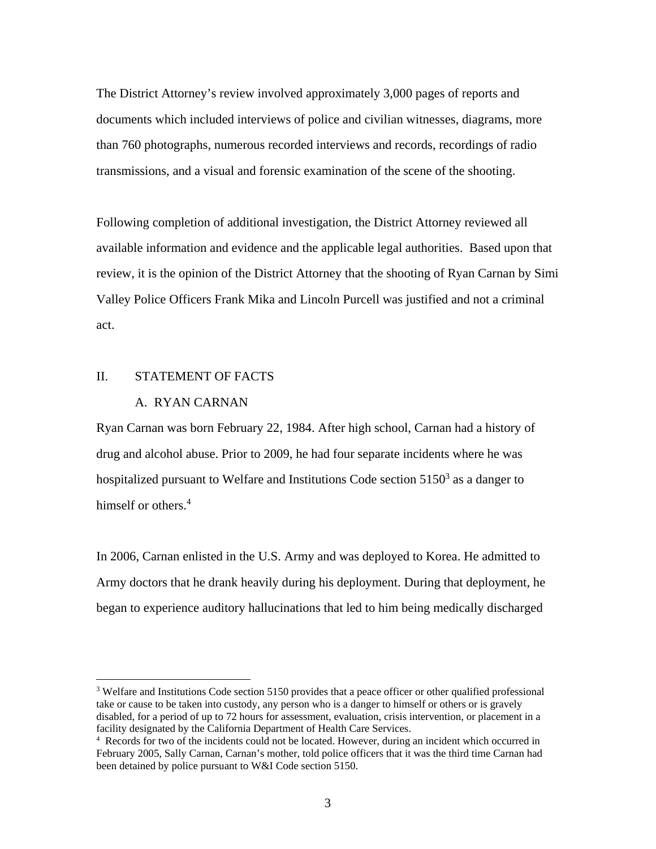The District Attorney's review involved approximately 3,000 pages of reports and documents which included interviews of police and civilian witnesses, diagrams, more than 760 photographs, numerous recorded interviews and records, recordings of radio transmissions, and a visual and forensic examination of the scene of the shooting.

Following completion of additional investigation, the District Attorney reviewed all available information and evidence and the applicable legal authorities. Based upon that review, it is the opinion of the District Attorney that the shooting of Ryan Carnan by Simi Valley Police Officers Frank Mika and Lincoln Purcell was justified and not a criminal act.

## II. STATEMENT OF FACTS

 $\overline{a}$ 

#### A. RYAN CARNAN

Ryan Carnan was born February 22, 1984. After high school, Carnan had a history of drug and alcohol abuse. Prior to 2009, he had four separate incidents where he was hospitalized pursuant to Welfare and Institutions Code section  $5150<sup>3</sup>$  as a danger to himself or others.<sup>4</sup>

In 2006, Carnan enlisted in the U.S. Army and was deployed to Korea. He admitted to Army doctors that he drank heavily during his deployment. During that deployment, he began to experience auditory hallucinations that led to him being medically discharged

<sup>&</sup>lt;sup>3</sup> Welfare and Institutions Code section 5150 provides that a peace officer or other qualified professional take or cause to be taken into custody, any person who is a danger to himself or others or is gravely disabled, for a period of up to 72 hours for assessment, evaluation, crisis intervention, or placement in a facility designated by the California Department of Health Care Services. 4

<sup>&</sup>lt;sup>4</sup> Records for two of the incidents could not be located. However, during an incident which occurred in February 2005, Sally Carnan, Carnan's mother, told police officers that it was the third time Carnan had been detained by police pursuant to W&I Code section 5150.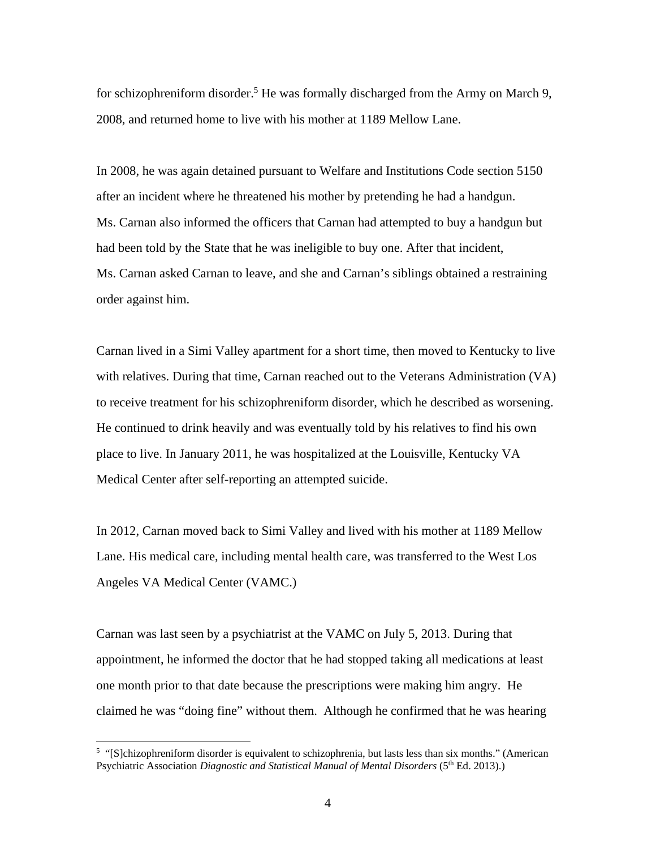for schizophreniform disorder.<sup>5</sup> He was formally discharged from the Army on March 9, 2008, and returned home to live with his mother at 1189 Mellow Lane.

In 2008, he was again detained pursuant to Welfare and Institutions Code section 5150 after an incident where he threatened his mother by pretending he had a handgun. Ms. Carnan also informed the officers that Carnan had attempted to buy a handgun but had been told by the State that he was ineligible to buy one. After that incident, Ms. Carnan asked Carnan to leave, and she and Carnan's siblings obtained a restraining order against him.

Carnan lived in a Simi Valley apartment for a short time, then moved to Kentucky to live with relatives. During that time, Carnan reached out to the Veterans Administration (VA) to receive treatment for his schizophreniform disorder, which he described as worsening. He continued to drink heavily and was eventually told by his relatives to find his own place to live. In January 2011, he was hospitalized at the Louisville, Kentucky VA Medical Center after self-reporting an attempted suicide.

In 2012, Carnan moved back to Simi Valley and lived with his mother at 1189 Mellow Lane. His medical care, including mental health care, was transferred to the West Los Angeles VA Medical Center (VAMC.)

Carnan was last seen by a psychiatrist at the VAMC on July 5, 2013. During that appointment, he informed the doctor that he had stopped taking all medications at least one month prior to that date because the prescriptions were making him angry. He claimed he was "doing fine" without them. Although he confirmed that he was hearing

 $\overline{a}$ 

<sup>&</sup>lt;sup>5</sup> "[S]chizophreniform disorder is equivalent to schizophrenia, but lasts less than six months." (American Psychiatric Association *Diagnostic and Statistical Manual of Mental Disorders* (5<sup>th</sup> Ed. 2013).)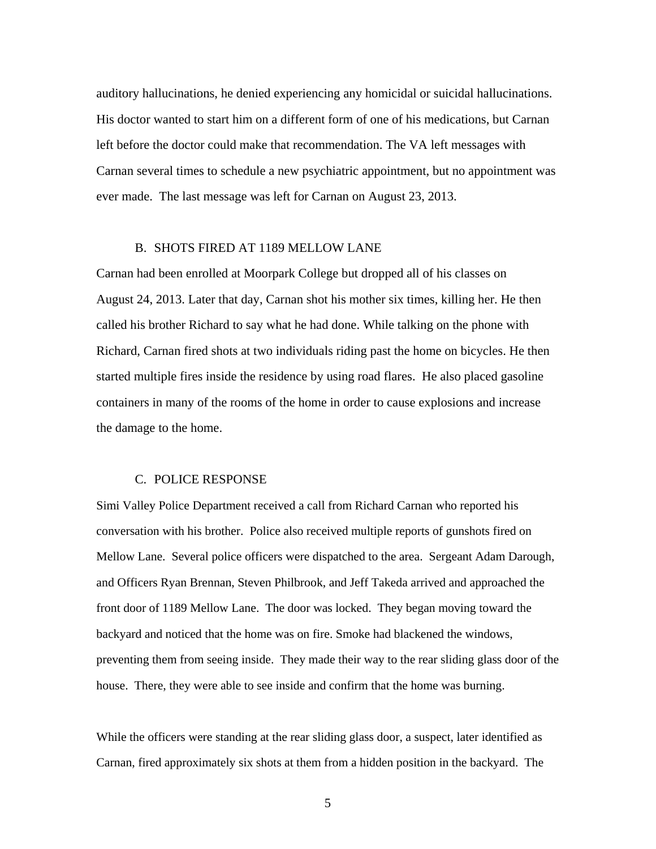auditory hallucinations, he denied experiencing any homicidal or suicidal hallucinations. His doctor wanted to start him on a different form of one of his medications, but Carnan left before the doctor could make that recommendation. The VA left messages with Carnan several times to schedule a new psychiatric appointment, but no appointment was ever made. The last message was left for Carnan on August 23, 2013.

#### B. SHOTS FIRED AT 1189 MELLOW LANE

Carnan had been enrolled at Moorpark College but dropped all of his classes on August 24, 2013. Later that day, Carnan shot his mother six times, killing her. He then called his brother Richard to say what he had done. While talking on the phone with Richard, Carnan fired shots at two individuals riding past the home on bicycles. He then started multiple fires inside the residence by using road flares. He also placed gasoline containers in many of the rooms of the home in order to cause explosions and increase the damage to the home.

#### C. POLICE RESPONSE

Simi Valley Police Department received a call from Richard Carnan who reported his conversation with his brother. Police also received multiple reports of gunshots fired on Mellow Lane. Several police officers were dispatched to the area. Sergeant Adam Darough, and Officers Ryan Brennan, Steven Philbrook, and Jeff Takeda arrived and approached the front door of 1189 Mellow Lane. The door was locked. They began moving toward the backyard and noticed that the home was on fire. Smoke had blackened the windows, preventing them from seeing inside. They made their way to the rear sliding glass door of the house. There, they were able to see inside and confirm that the home was burning.

While the officers were standing at the rear sliding glass door, a suspect, later identified as Carnan, fired approximately six shots at them from a hidden position in the backyard. The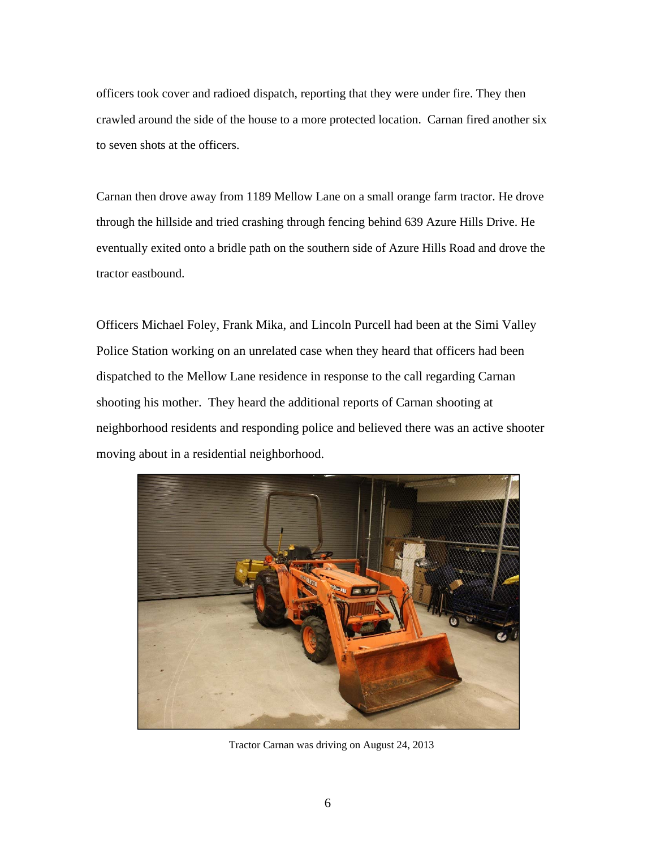officers took cover and radioed dispatch, reporting that they were under fire. They then crawled around the side of the house to a more protected location. Carnan fired another six to seven shots at the officers.

Carnan then drove away from 1189 Mellow Lane on a small orange farm tractor. He drove through the hillside and tried crashing through fencing behind 639 Azure Hills Drive. He eventually exited onto a bridle path on the southern side of Azure Hills Road and drove the tractor eastbound.

Officers Michael Foley, Frank Mika, and Lincoln Purcell had been at the Simi Valley Police Station working on an unrelated case when they heard that officers had been dispatched to the Mellow Lane residence in response to the call regarding Carnan shooting his mother. They heard the additional reports of Carnan shooting at neighborhood residents and responding police and believed there was an active shooter moving about in a residential neighborhood.



Tractor Carnan was driving on August 24, 2013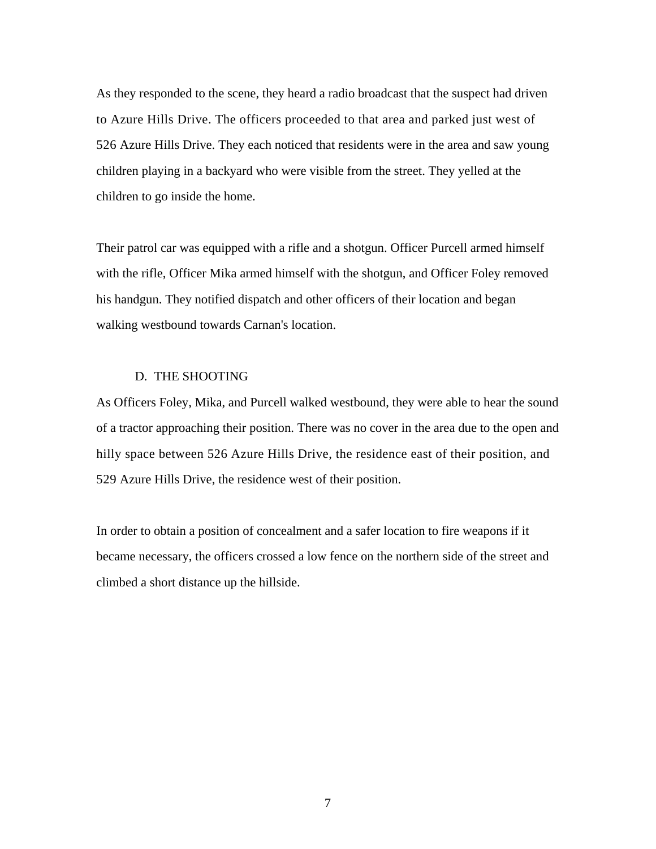As they responded to the scene, they heard a radio broadcast that the suspect had driven to Azure Hills Drive. The officers proceeded to that area and parked just west of 526 Azure Hills Drive. They each noticed that residents were in the area and saw young children playing in a backyard who were visible from the street. They yelled at the children to go inside the home.

Their patrol car was equipped with a rifle and a shotgun. Officer Purcell armed himself with the rifle, Officer Mika armed himself with the shotgun, and Officer Foley removed his handgun. They notified dispatch and other officers of their location and began walking westbound towards Carnan's location.

### D. THE SHOOTING

As Officers Foley, Mika, and Purcell walked westbound, they were able to hear the sound of a tractor approaching their position. There was no cover in the area due to the open and hilly space between 526 Azure Hills Drive, the residence east of their position, and 529 Azure Hills Drive, the residence west of their position.

In order to obtain a position of concealment and a safer location to fire weapons if it became necessary, the officers crossed a low fence on the northern side of the street and climbed a short distance up the hillside.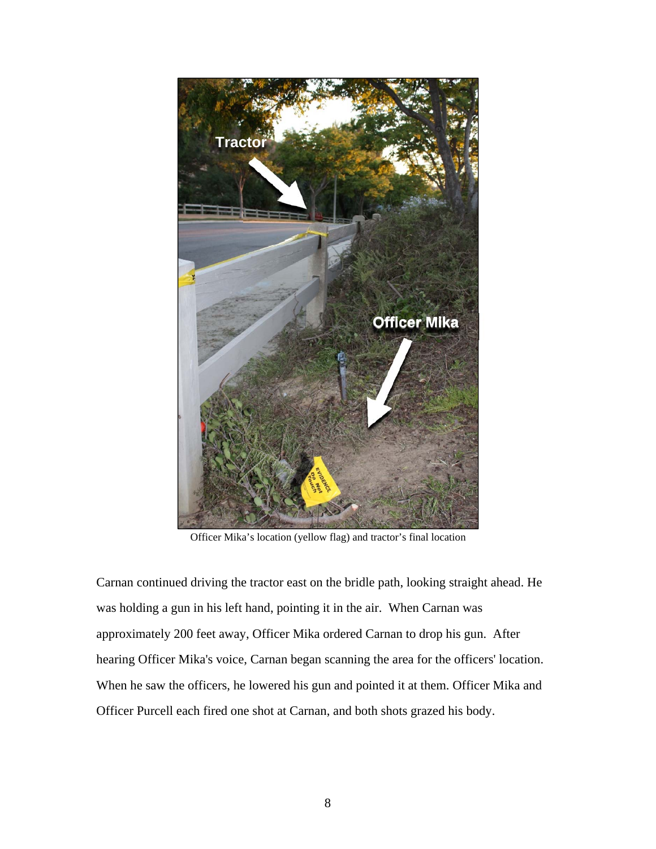

Officer Mika's location (yellow flag) and tractor's final location

Carnan continued driving the tractor east on the bridle path, looking straight ahead. He was holding a gun in his left hand, pointing it in the air. When Carnan was approximately 200 feet away, Officer Mika ordered Carnan to drop his gun. After hearing Officer Mika's voice, Carnan began scanning the area for the officers' location. When he saw the officers, he lowered his gun and pointed it at them. Officer Mika and Officer Purcell each fired one shot at Carnan, and both shots grazed his body.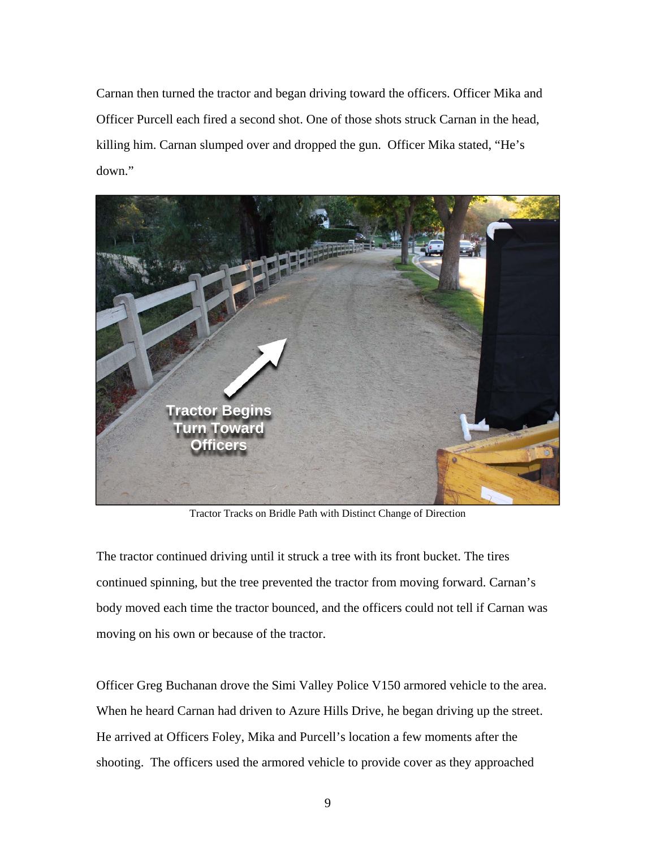Carnan then turned the tractor and began driving toward the officers. Officer Mika and Officer Purcell each fired a second shot. One of those shots struck Carnan in the head, killing him. Carnan slumped over and dropped the gun. Officer Mika stated, "He's down."



Tractor Tracks on Bridle Path with Distinct Change of Direction

The tractor continued driving until it struck a tree with its front bucket. The tires continued spinning, but the tree prevented the tractor from moving forward. Carnan's body moved each time the tractor bounced, and the officers could not tell if Carnan was moving on his own or because of the tractor.

Officer Greg Buchanan drove the Simi Valley Police V150 armored vehicle to the area. When he heard Carnan had driven to Azure Hills Drive, he began driving up the street. He arrived at Officers Foley, Mika and Purcell's location a few moments after the shooting. The officers used the armored vehicle to provide cover as they approached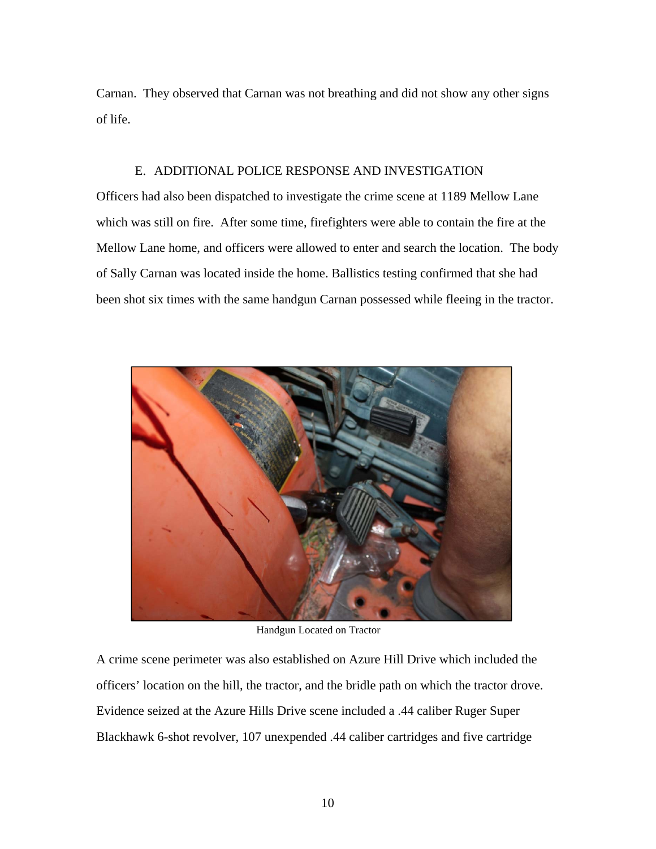Carnan. They observed that Carnan was not breathing and did not show any other signs of life.

## E. ADDITIONAL POLICE RESPONSE AND INVESTIGATION

Officers had also been dispatched to investigate the crime scene at 1189 Mellow Lane which was still on fire. After some time, firefighters were able to contain the fire at the Mellow Lane home, and officers were allowed to enter and search the location. The body of Sally Carnan was located inside the home. Ballistics testing confirmed that she had been shot six times with the same handgun Carnan possessed while fleeing in the tractor.



Handgun Located on Tractor

A crime scene perimeter was also established on Azure Hill Drive which included the officers' location on the hill, the tractor, and the bridle path on which the tractor drove. Evidence seized at the Azure Hills Drive scene included a .44 caliber Ruger Super Blackhawk 6-shot revolver, 107 unexpended .44 caliber cartridges and five cartridge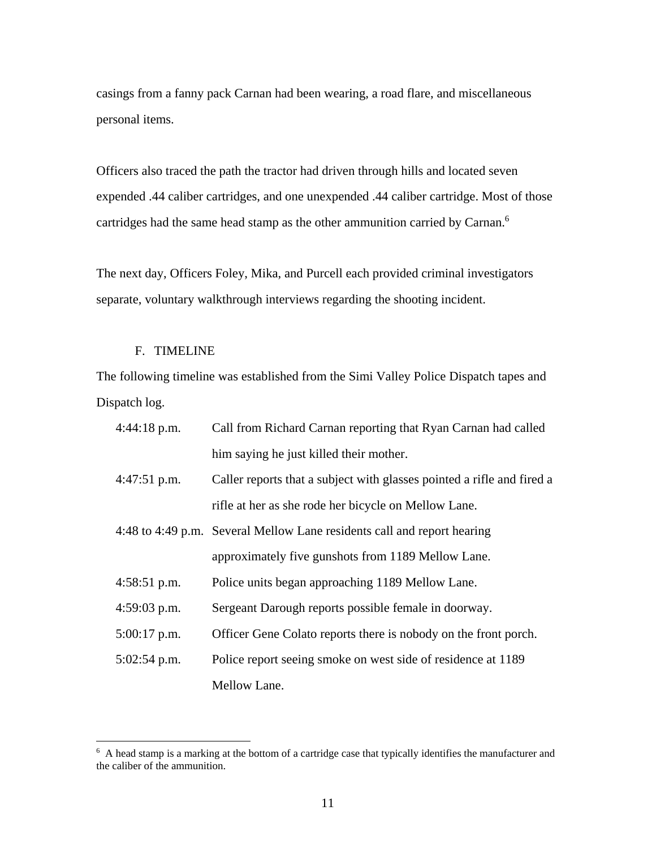casings from a fanny pack Carnan had been wearing, a road flare, and miscellaneous personal items.

Officers also traced the path the tractor had driven through hills and located seven expended .44 caliber cartridges, and one unexpended .44 caliber cartridge. Most of those cartridges had the same head stamp as the other ammunition carried by Carnan.<sup>6</sup>

The next day, Officers Foley, Mika, and Purcell each provided criminal investigators separate, voluntary walkthrough interviews regarding the shooting incident.

## F. TIMELINE

The following timeline was established from the Simi Valley Police Dispatch tapes and Dispatch log.

| $4:44:18$ p.m. | Call from Richard Carnan reporting that Ryan Carnan had called          |
|----------------|-------------------------------------------------------------------------|
|                | him saying he just killed their mother.                                 |
| $4:47:51$ p.m. | Caller reports that a subject with glasses pointed a rifle and fired a  |
|                | rifle at her as she rode her bicycle on Mellow Lane.                    |
|                | 4:48 to 4:49 p.m. Several Mellow Lane residents call and report hearing |
|                | approximately five gunshots from 1189 Mellow Lane.                      |
| 4:58:51 p.m.   | Police units began approaching 1189 Mellow Lane.                        |
| $4:59:03$ p.m. | Sergeant Darough reports possible female in doorway.                    |
| $5:00:17$ p.m. | Officer Gene Colato reports there is nobody on the front porch.         |
| $5:02:54$ p.m. | Police report seeing smoke on west side of residence at 1189            |
|                | Mellow Lane.                                                            |

<sup>&</sup>lt;sup>6</sup> A head stamp is a marking at the bottom of a cartridge case that typically identifies the manufacturer and the caliber of the ammunition.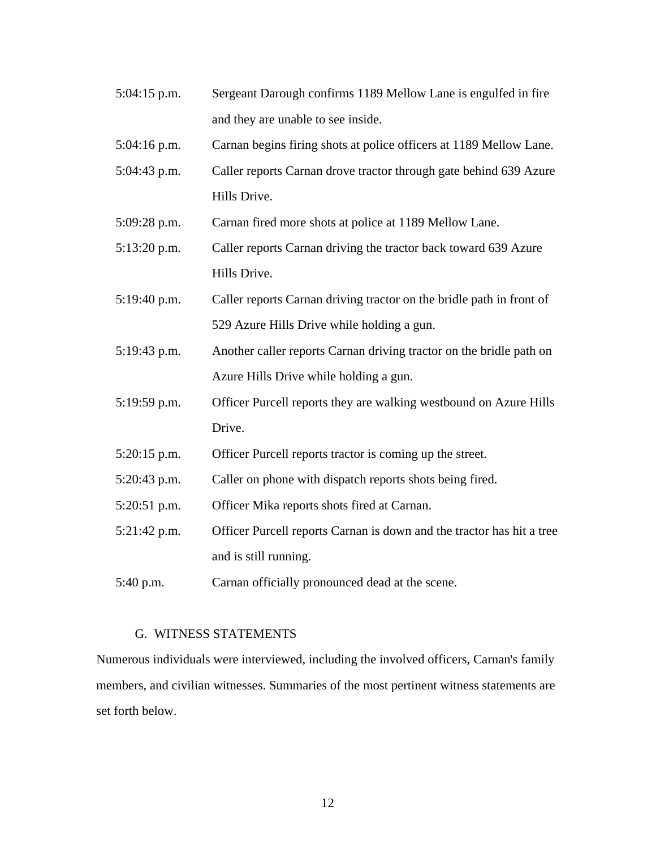- 5:04:15 p.m. Sergeant Darough confirms 1189 Mellow Lane is engulfed in fire and they are unable to see inside.
- 5:04:16 p.m. Carnan begins firing shots at police officers at 1189 Mellow Lane.
- 5:04:43 p.m. Caller reports Carnan drove tractor through gate behind 639 Azure Hills Drive.
- 5:09:28 p.m. Carnan fired more shots at police at 1189 Mellow Lane.
- 5:13:20 p.m. Caller reports Carnan driving the tractor back toward 639 Azure Hills Drive.
- 5:19:40 p.m. Caller reports Carnan driving tractor on the bridle path in front of 529 Azure Hills Drive while holding a gun.
- 5:19:43 p.m. Another caller reports Carnan driving tractor on the bridle path on Azure Hills Drive while holding a gun.
- 5:19:59 p.m. Officer Purcell reports they are walking westbound on Azure Hills Drive.
- 5:20:15 p.m. Officer Purcell reports tractor is coming up the street.
- 5:20:43 p.m. Caller on phone with dispatch reports shots being fired.
- 5:20:51 p.m. Officer Mika reports shots fired at Carnan.
- 5:21:42 p.m. Officer Purcell reports Carnan is down and the tractor has hit a tree and is still running.
- 5:40 p.m. Carnan officially pronounced dead at the scene.

#### G. WITNESS STATEMENTS

Numerous individuals were interviewed, including the involved officers, Carnan's family members, and civilian witnesses. Summaries of the most pertinent witness statements are set forth below.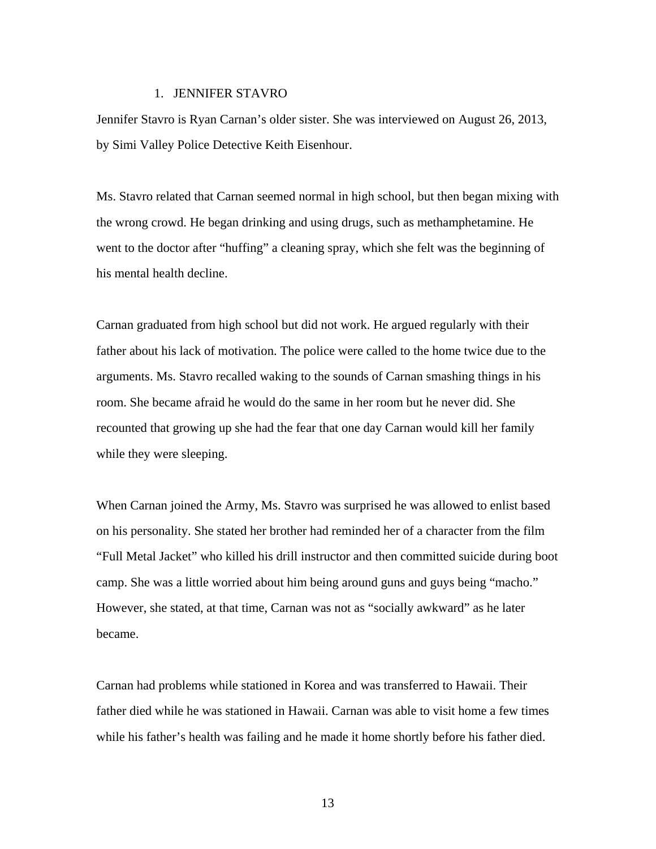#### 1. JENNIFER STAVRO

Jennifer Stavro is Ryan Carnan's older sister. She was interviewed on August 26, 2013, by Simi Valley Police Detective Keith Eisenhour.

Ms. Stavro related that Carnan seemed normal in high school, but then began mixing with the wrong crowd. He began drinking and using drugs, such as methamphetamine. He went to the doctor after "huffing" a cleaning spray, which she felt was the beginning of his mental health decline.

Carnan graduated from high school but did not work. He argued regularly with their father about his lack of motivation. The police were called to the home twice due to the arguments. Ms. Stavro recalled waking to the sounds of Carnan smashing things in his room. She became afraid he would do the same in her room but he never did. She recounted that growing up she had the fear that one day Carnan would kill her family while they were sleeping.

When Carnan joined the Army, Ms. Stavro was surprised he was allowed to enlist based on his personality. She stated her brother had reminded her of a character from the film "Full Metal Jacket" who killed his drill instructor and then committed suicide during boot camp. She was a little worried about him being around guns and guys being "macho." However, she stated, at that time, Carnan was not as "socially awkward" as he later became.

Carnan had problems while stationed in Korea and was transferred to Hawaii. Their father died while he was stationed in Hawaii. Carnan was able to visit home a few times while his father's health was failing and he made it home shortly before his father died.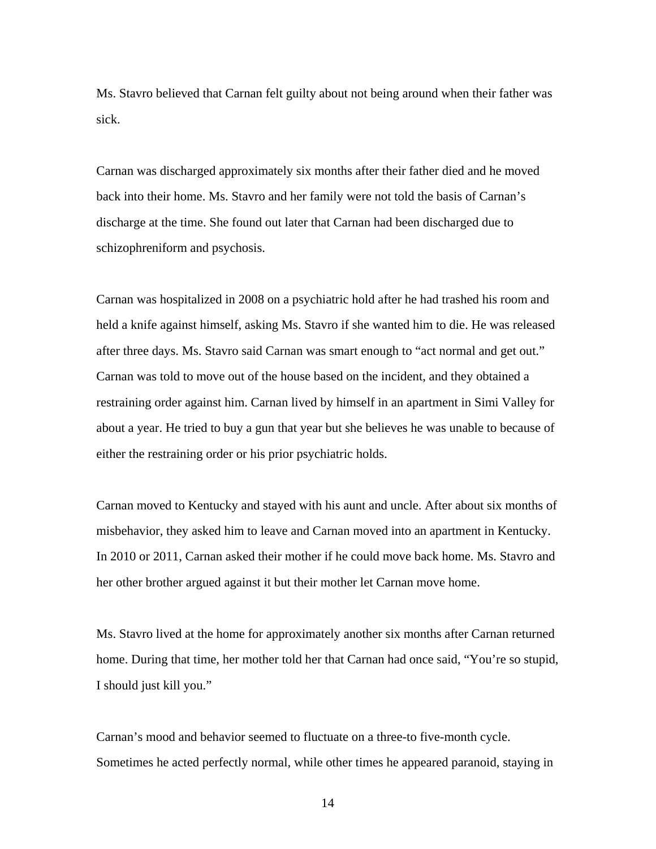Ms. Stavro believed that Carnan felt guilty about not being around when their father was sick.

Carnan was discharged approximately six months after their father died and he moved back into their home. Ms. Stavro and her family were not told the basis of Carnan's discharge at the time. She found out later that Carnan had been discharged due to schizophreniform and psychosis.

Carnan was hospitalized in 2008 on a psychiatric hold after he had trashed his room and held a knife against himself, asking Ms. Stavro if she wanted him to die. He was released after three days. Ms. Stavro said Carnan was smart enough to "act normal and get out." Carnan was told to move out of the house based on the incident, and they obtained a restraining order against him. Carnan lived by himself in an apartment in Simi Valley for about a year. He tried to buy a gun that year but she believes he was unable to because of either the restraining order or his prior psychiatric holds.

Carnan moved to Kentucky and stayed with his aunt and uncle. After about six months of misbehavior, they asked him to leave and Carnan moved into an apartment in Kentucky. In 2010 or 2011, Carnan asked their mother if he could move back home. Ms. Stavro and her other brother argued against it but their mother let Carnan move home.

Ms. Stavro lived at the home for approximately another six months after Carnan returned home. During that time, her mother told her that Carnan had once said, "You're so stupid, I should just kill you."

Carnan's mood and behavior seemed to fluctuate on a three-to five-month cycle. Sometimes he acted perfectly normal, while other times he appeared paranoid, staying in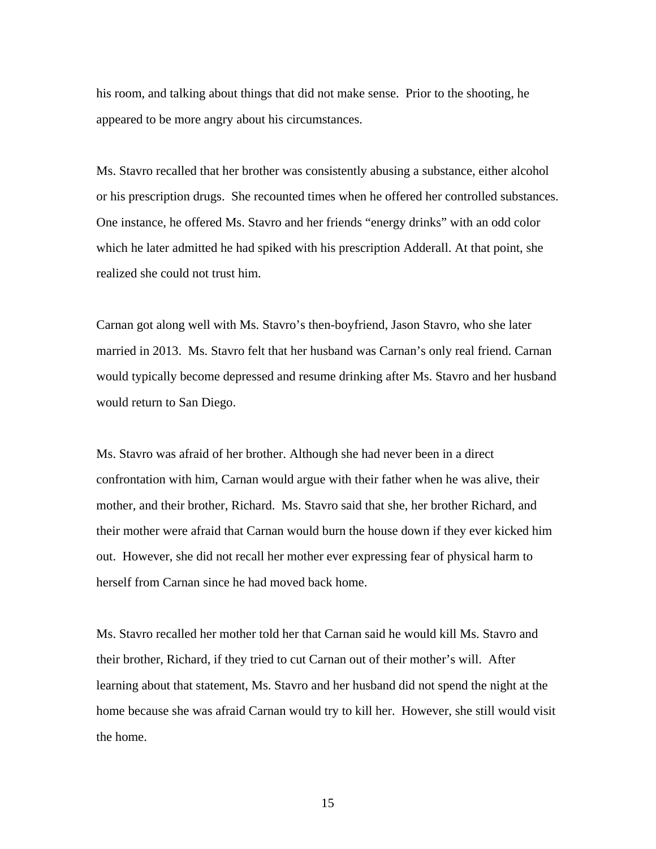his room, and talking about things that did not make sense. Prior to the shooting, he appeared to be more angry about his circumstances.

Ms. Stavro recalled that her brother was consistently abusing a substance, either alcohol or his prescription drugs. She recounted times when he offered her controlled substances. One instance, he offered Ms. Stavro and her friends "energy drinks" with an odd color which he later admitted he had spiked with his prescription Adderall. At that point, she realized she could not trust him.

Carnan got along well with Ms. Stavro's then-boyfriend, Jason Stavro, who she later married in 2013. Ms. Stavro felt that her husband was Carnan's only real friend. Carnan would typically become depressed and resume drinking after Ms. Stavro and her husband would return to San Diego.

Ms. Stavro was afraid of her brother. Although she had never been in a direct confrontation with him, Carnan would argue with their father when he was alive, their mother, and their brother, Richard. Ms. Stavro said that she, her brother Richard, and their mother were afraid that Carnan would burn the house down if they ever kicked him out. However, she did not recall her mother ever expressing fear of physical harm to herself from Carnan since he had moved back home.

Ms. Stavro recalled her mother told her that Carnan said he would kill Ms. Stavro and their brother, Richard, if they tried to cut Carnan out of their mother's will. After learning about that statement, Ms. Stavro and her husband did not spend the night at the home because she was afraid Carnan would try to kill her. However, she still would visit the home.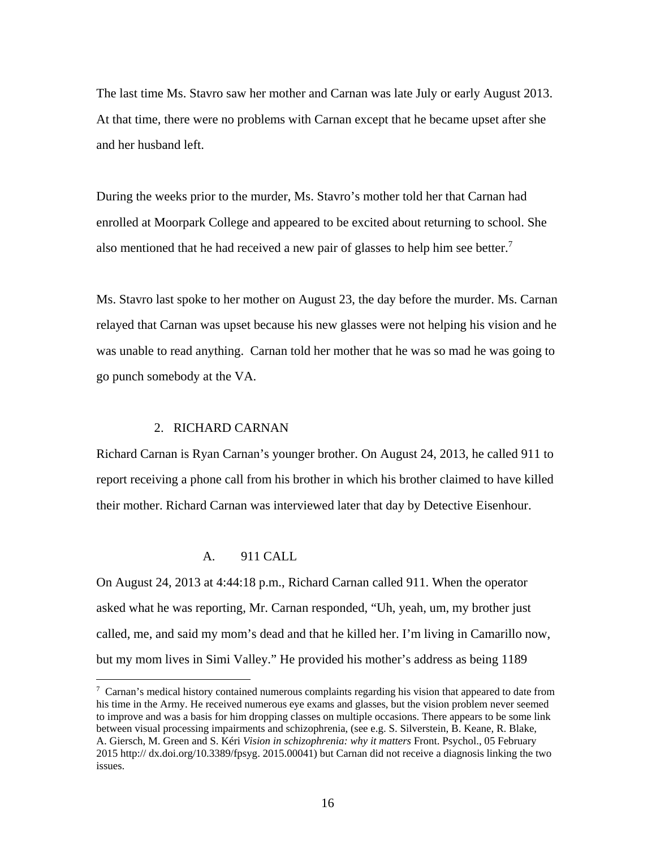The last time Ms. Stavro saw her mother and Carnan was late July or early August 2013. At that time, there were no problems with Carnan except that he became upset after she and her husband left.

During the weeks prior to the murder, Ms. Stavro's mother told her that Carnan had enrolled at Moorpark College and appeared to be excited about returning to school. She also mentioned that he had received a new pair of glasses to help him see better.<sup>7</sup>

Ms. Stavro last spoke to her mother on August 23, the day before the murder. Ms. Carnan relayed that Carnan was upset because his new glasses were not helping his vision and he was unable to read anything. Carnan told her mother that he was so mad he was going to go punch somebody at the VA.

#### 2. RICHARD CARNAN

Richard Carnan is Ryan Carnan's younger brother. On August 24, 2013, he called 911 to report receiving a phone call from his brother in which his brother claimed to have killed their mother. Richard Carnan was interviewed later that day by Detective Eisenhour.

## A. 911 CALL

On August 24, 2013 at 4:44:18 p.m., Richard Carnan called 911. When the operator asked what he was reporting, Mr. Carnan responded, "Uh, yeah, um, my brother just called, me, and said my mom's dead and that he killed her. I'm living in Camarillo now, but my mom lives in Simi Valley." He provided his mother's address as being 1189

<sup>&</sup>lt;u>.</u>  $\sigma$  Carnan's medical history contained numerous complaints regarding his vision that appeared to date from his time in the Army. He received numerous eye exams and glasses, but the vision problem never seemed to improve and was a basis for him dropping classes on multiple occasions. There appears to be some link between visual processing impairments and schizophrenia, (see e.g. S. Silverstein, B. Keane, R. Blake, A. Giersch, M. Green and S. Kéri *Vision in schizophrenia: why it matters* Front. Psychol., 05 February 2015 http:// dx.doi.org/10.3389/fpsyg. 2015.00041) but Carnan did not receive a diagnosis linking the two issues.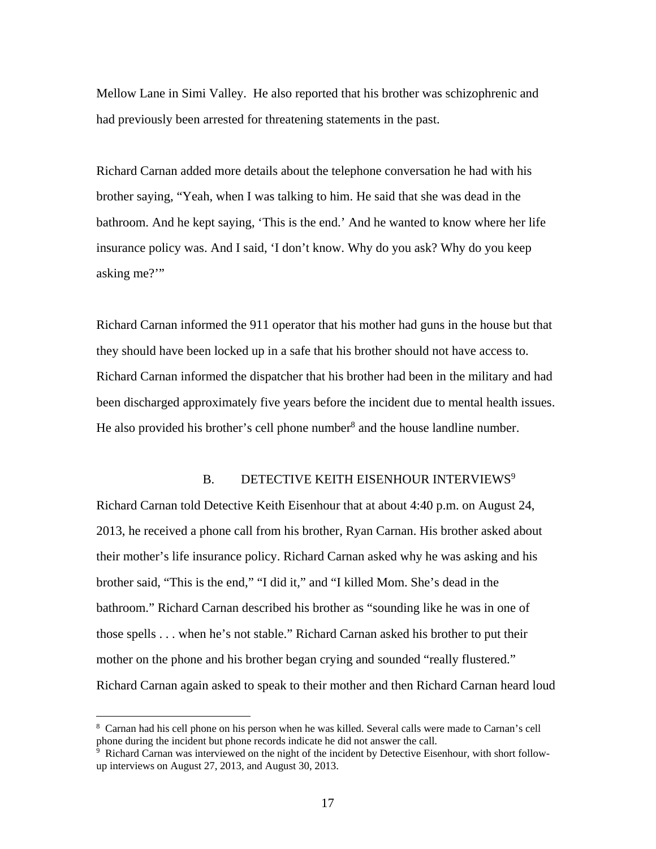Mellow Lane in Simi Valley. He also reported that his brother was schizophrenic and had previously been arrested for threatening statements in the past.

Richard Carnan added more details about the telephone conversation he had with his brother saying, "Yeah, when I was talking to him. He said that she was dead in the bathroom. And he kept saying, 'This is the end.' And he wanted to know where her life insurance policy was. And I said, 'I don't know. Why do you ask? Why do you keep asking me?'"

Richard Carnan informed the 911 operator that his mother had guns in the house but that they should have been locked up in a safe that his brother should not have access to. Richard Carnan informed the dispatcher that his brother had been in the military and had been discharged approximately five years before the incident due to mental health issues. He also provided his brother's cell phone number<sup>8</sup> and the house landline number.

## B. DETECTIVE KEITH EISENHOUR INTERVIEWS<sup>9</sup>

Richard Carnan told Detective Keith Eisenhour that at about 4:40 p.m. on August 24, 2013, he received a phone call from his brother, Ryan Carnan. His brother asked about their mother's life insurance policy. Richard Carnan asked why he was asking and his brother said, "This is the end," "I did it," and "I killed Mom. She's dead in the bathroom." Richard Carnan described his brother as "sounding like he was in one of those spells . . . when he's not stable." Richard Carnan asked his brother to put their mother on the phone and his brother began crying and sounded "really flustered." Richard Carnan again asked to speak to their mother and then Richard Carnan heard loud

 $\overline{a}$ 

<sup>8</sup> Carnan had his cell phone on his person when he was killed. Several calls were made to Carnan's cell phone during the incident but phone records indicate he did not answer the call.

<sup>9</sup> Richard Carnan was interviewed on the night of the incident by Detective Eisenhour, with short followup interviews on August 27, 2013, and August 30, 2013.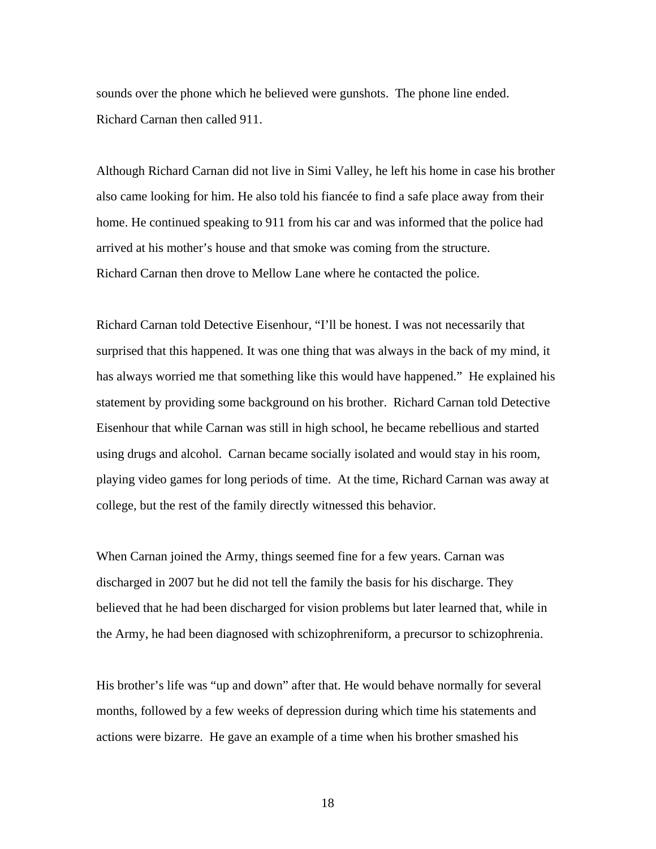sounds over the phone which he believed were gunshots. The phone line ended. Richard Carnan then called 911.

Although Richard Carnan did not live in Simi Valley, he left his home in case his brother also came looking for him. He also told his fiancée to find a safe place away from their home. He continued speaking to 911 from his car and was informed that the police had arrived at his mother's house and that smoke was coming from the structure. Richard Carnan then drove to Mellow Lane where he contacted the police.

Richard Carnan told Detective Eisenhour, "I'll be honest. I was not necessarily that surprised that this happened. It was one thing that was always in the back of my mind, it has always worried me that something like this would have happened." He explained his statement by providing some background on his brother. Richard Carnan told Detective Eisenhour that while Carnan was still in high school, he became rebellious and started using drugs and alcohol. Carnan became socially isolated and would stay in his room, playing video games for long periods of time. At the time, Richard Carnan was away at college, but the rest of the family directly witnessed this behavior.

When Carnan joined the Army, things seemed fine for a few years. Carnan was discharged in 2007 but he did not tell the family the basis for his discharge. They believed that he had been discharged for vision problems but later learned that, while in the Army, he had been diagnosed with schizophreniform, a precursor to schizophrenia.

His brother's life was "up and down" after that. He would behave normally for several months, followed by a few weeks of depression during which time his statements and actions were bizarre. He gave an example of a time when his brother smashed his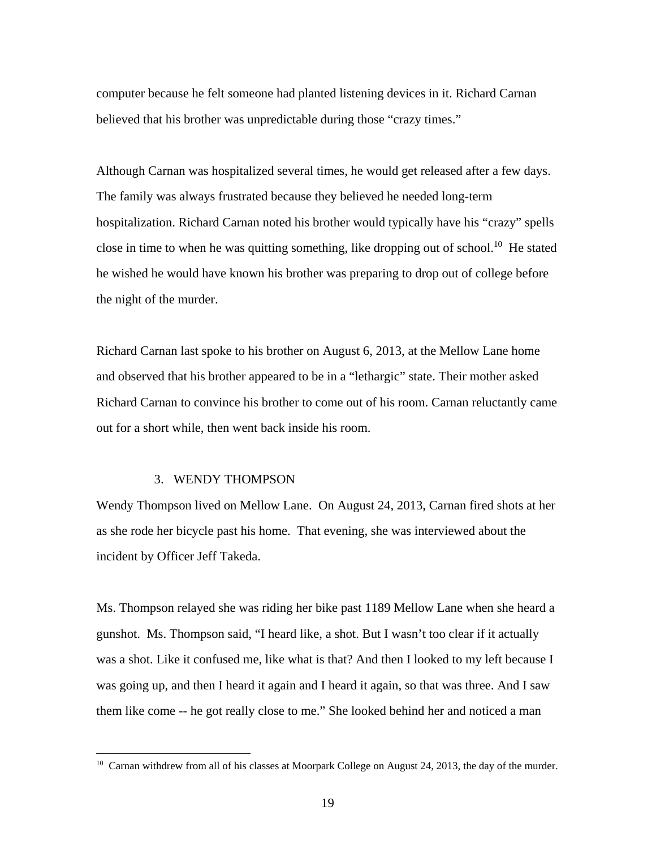computer because he felt someone had planted listening devices in it. Richard Carnan believed that his brother was unpredictable during those "crazy times."

Although Carnan was hospitalized several times, he would get released after a few days. The family was always frustrated because they believed he needed long-term hospitalization. Richard Carnan noted his brother would typically have his "crazy" spells close in time to when he was quitting something, like dropping out of school.<sup>10</sup> He stated he wished he would have known his brother was preparing to drop out of college before the night of the murder.

Richard Carnan last spoke to his brother on August 6, 2013, at the Mellow Lane home and observed that his brother appeared to be in a "lethargic" state. Their mother asked Richard Carnan to convince his brother to come out of his room. Carnan reluctantly came out for a short while, then went back inside his room.

#### 3. WENDY THOMPSON

 $\overline{a}$ 

Wendy Thompson lived on Mellow Lane. On August 24, 2013, Carnan fired shots at her as she rode her bicycle past his home. That evening, she was interviewed about the incident by Officer Jeff Takeda.

Ms. Thompson relayed she was riding her bike past 1189 Mellow Lane when she heard a gunshot. Ms. Thompson said, "I heard like, a shot. But I wasn't too clear if it actually was a shot. Like it confused me, like what is that? And then I looked to my left because I was going up, and then I heard it again and I heard it again, so that was three. And I saw them like come -- he got really close to me." She looked behind her and noticed a man

<sup>&</sup>lt;sup>10</sup> Carnan withdrew from all of his classes at Moorpark College on August 24, 2013, the day of the murder.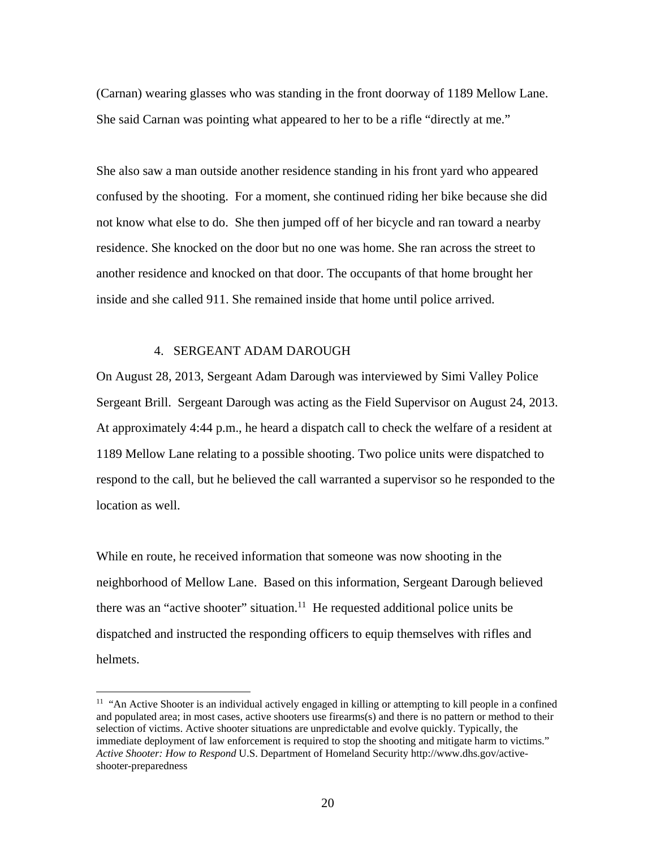(Carnan) wearing glasses who was standing in the front doorway of 1189 Mellow Lane. She said Carnan was pointing what appeared to her to be a rifle "directly at me."

She also saw a man outside another residence standing in his front yard who appeared confused by the shooting. For a moment, she continued riding her bike because she did not know what else to do. She then jumped off of her bicycle and ran toward a nearby residence. She knocked on the door but no one was home. She ran across the street to another residence and knocked on that door. The occupants of that home brought her inside and she called 911. She remained inside that home until police arrived.

#### 4. SERGEANT ADAM DAROUGH

 $\overline{a}$ 

On August 28, 2013, Sergeant Adam Darough was interviewed by Simi Valley Police Sergeant Brill. Sergeant Darough was acting as the Field Supervisor on August 24, 2013. At approximately 4:44 p.m., he heard a dispatch call to check the welfare of a resident at 1189 Mellow Lane relating to a possible shooting. Two police units were dispatched to respond to the call, but he believed the call warranted a supervisor so he responded to the location as well.

While en route, he received information that someone was now shooting in the neighborhood of Mellow Lane. Based on this information, Sergeant Darough believed there was an "active shooter" situation.<sup>11</sup> He requested additional police units be dispatched and instructed the responding officers to equip themselves with rifles and helmets.

<sup>&</sup>lt;sup>11</sup> "An Active Shooter is an individual actively engaged in killing or attempting to kill people in a confined and populated area; in most cases, active shooters use firearms(s) and there is no pattern or method to their selection of victims. Active shooter situations are unpredictable and evolve quickly. Typically, the immediate deployment of law enforcement is required to stop the shooting and mitigate harm to victims." *Active Shooter: How to Respond* U.S. Department of Homeland Security http://www.dhs.gov/activeshooter-preparedness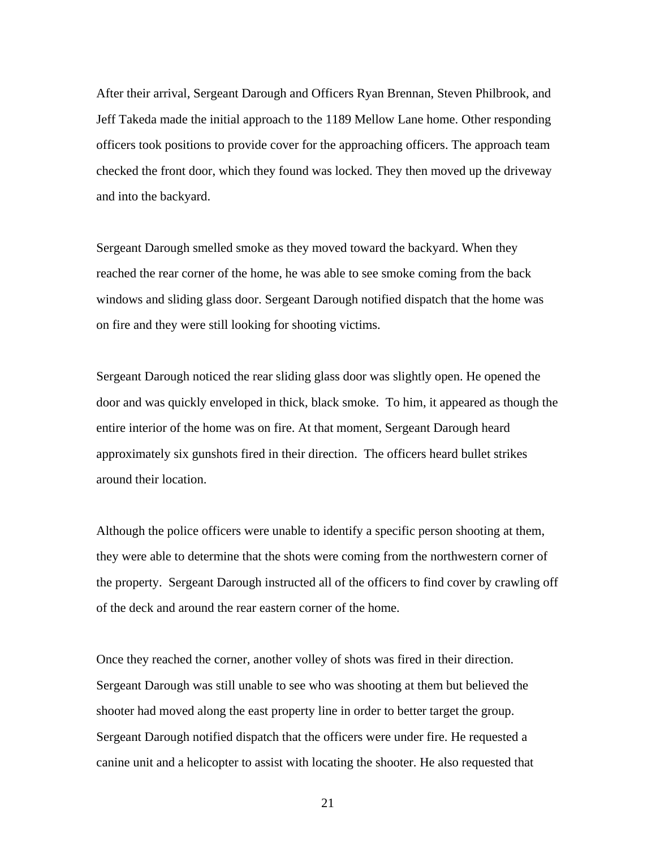After their arrival, Sergeant Darough and Officers Ryan Brennan, Steven Philbrook, and Jeff Takeda made the initial approach to the 1189 Mellow Lane home. Other responding officers took positions to provide cover for the approaching officers. The approach team checked the front door, which they found was locked. They then moved up the driveway and into the backyard.

Sergeant Darough smelled smoke as they moved toward the backyard. When they reached the rear corner of the home, he was able to see smoke coming from the back windows and sliding glass door. Sergeant Darough notified dispatch that the home was on fire and they were still looking for shooting victims.

Sergeant Darough noticed the rear sliding glass door was slightly open. He opened the door and was quickly enveloped in thick, black smoke. To him, it appeared as though the entire interior of the home was on fire. At that moment, Sergeant Darough heard approximately six gunshots fired in their direction. The officers heard bullet strikes around their location.

Although the police officers were unable to identify a specific person shooting at them, they were able to determine that the shots were coming from the northwestern corner of the property. Sergeant Darough instructed all of the officers to find cover by crawling off of the deck and around the rear eastern corner of the home.

Once they reached the corner, another volley of shots was fired in their direction. Sergeant Darough was still unable to see who was shooting at them but believed the shooter had moved along the east property line in order to better target the group. Sergeant Darough notified dispatch that the officers were under fire. He requested a canine unit and a helicopter to assist with locating the shooter. He also requested that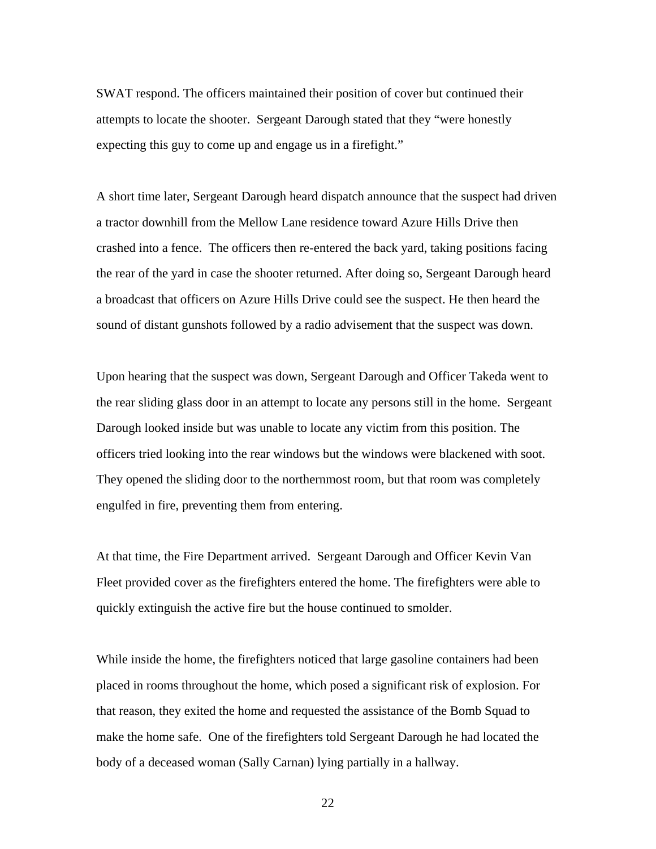SWAT respond. The officers maintained their position of cover but continued their attempts to locate the shooter. Sergeant Darough stated that they "were honestly expecting this guy to come up and engage us in a firefight."

A short time later, Sergeant Darough heard dispatch announce that the suspect had driven a tractor downhill from the Mellow Lane residence toward Azure Hills Drive then crashed into a fence. The officers then re-entered the back yard, taking positions facing the rear of the yard in case the shooter returned. After doing so, Sergeant Darough heard a broadcast that officers on Azure Hills Drive could see the suspect. He then heard the sound of distant gunshots followed by a radio advisement that the suspect was down.

Upon hearing that the suspect was down, Sergeant Darough and Officer Takeda went to the rear sliding glass door in an attempt to locate any persons still in the home. Sergeant Darough looked inside but was unable to locate any victim from this position. The officers tried looking into the rear windows but the windows were blackened with soot. They opened the sliding door to the northernmost room, but that room was completely engulfed in fire, preventing them from entering.

At that time, the Fire Department arrived. Sergeant Darough and Officer Kevin Van Fleet provided cover as the firefighters entered the home. The firefighters were able to quickly extinguish the active fire but the house continued to smolder.

While inside the home, the firefighters noticed that large gasoline containers had been placed in rooms throughout the home, which posed a significant risk of explosion. For that reason, they exited the home and requested the assistance of the Bomb Squad to make the home safe. One of the firefighters told Sergeant Darough he had located the body of a deceased woman (Sally Carnan) lying partially in a hallway.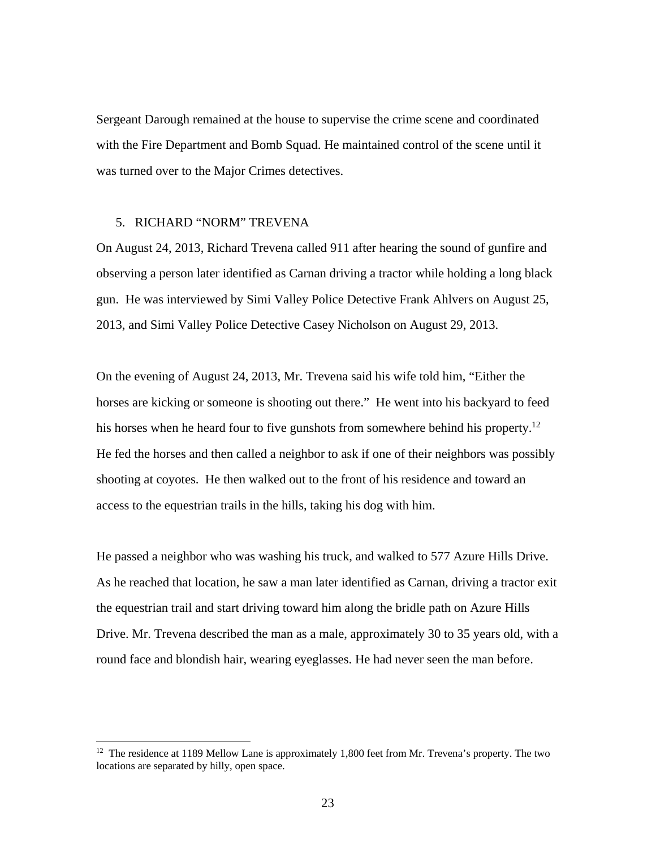Sergeant Darough remained at the house to supervise the crime scene and coordinated with the Fire Department and Bomb Squad. He maintained control of the scene until it was turned over to the Major Crimes detectives.

#### 5. RICHARD "NORM" TREVENA

1

On August 24, 2013, Richard Trevena called 911 after hearing the sound of gunfire and observing a person later identified as Carnan driving a tractor while holding a long black gun. He was interviewed by Simi Valley Police Detective Frank Ahlvers on August 25, 2013, and Simi Valley Police Detective Casey Nicholson on August 29, 2013.

On the evening of August 24, 2013, Mr. Trevena said his wife told him, "Either the horses are kicking or someone is shooting out there." He went into his backyard to feed his horses when he heard four to five gunshots from somewhere behind his property.<sup>12</sup> He fed the horses and then called a neighbor to ask if one of their neighbors was possibly shooting at coyotes. He then walked out to the front of his residence and toward an access to the equestrian trails in the hills, taking his dog with him.

He passed a neighbor who was washing his truck, and walked to 577 Azure Hills Drive. As he reached that location, he saw a man later identified as Carnan, driving a tractor exit the equestrian trail and start driving toward him along the bridle path on Azure Hills Drive. Mr. Trevena described the man as a male, approximately 30 to 35 years old, with a round face and blondish hair, wearing eyeglasses. He had never seen the man before.

<sup>&</sup>lt;sup>12</sup> The residence at 1189 Mellow Lane is approximately 1,800 feet from Mr. Trevena's property. The two locations are separated by hilly, open space.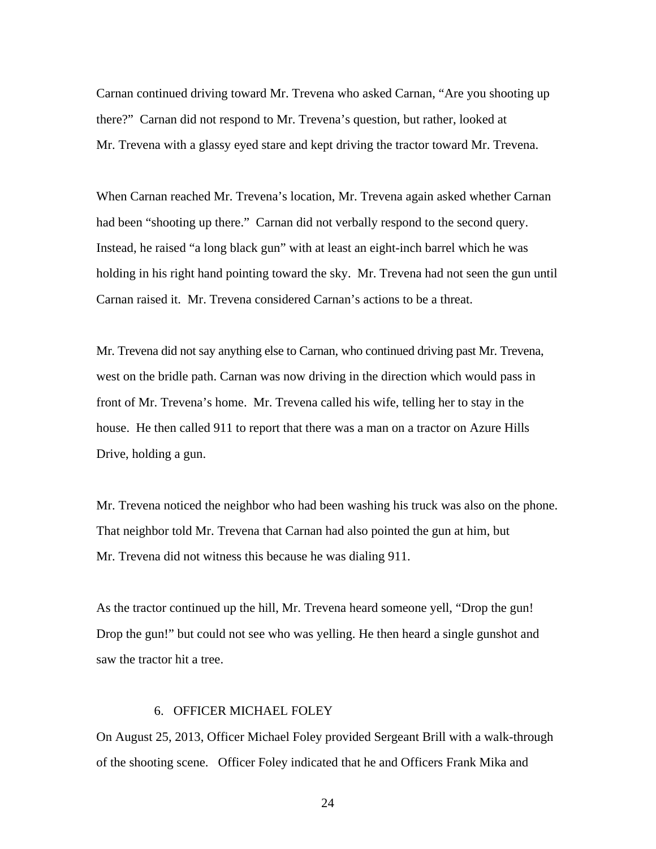Carnan continued driving toward Mr. Trevena who asked Carnan, "Are you shooting up there?" Carnan did not respond to Mr. Trevena's question, but rather, looked at Mr. Trevena with a glassy eyed stare and kept driving the tractor toward Mr. Trevena.

When Carnan reached Mr. Trevena's location, Mr. Trevena again asked whether Carnan had been "shooting up there." Carnan did not verbally respond to the second query. Instead, he raised "a long black gun" with at least an eight-inch barrel which he was holding in his right hand pointing toward the sky. Mr. Trevena had not seen the gun until Carnan raised it. Mr. Trevena considered Carnan's actions to be a threat.

Mr. Trevena did not say anything else to Carnan, who continued driving past Mr. Trevena, west on the bridle path. Carnan was now driving in the direction which would pass in front of Mr. Trevena's home. Mr. Trevena called his wife, telling her to stay in the house. He then called 911 to report that there was a man on a tractor on Azure Hills Drive, holding a gun.

Mr. Trevena noticed the neighbor who had been washing his truck was also on the phone. That neighbor told Mr. Trevena that Carnan had also pointed the gun at him, but Mr. Trevena did not witness this because he was dialing 911.

As the tractor continued up the hill, Mr. Trevena heard someone yell, "Drop the gun! Drop the gun!" but could not see who was yelling. He then heard a single gunshot and saw the tractor hit a tree.

## 6. OFFICER MICHAEL FOLEY

On August 25, 2013, Officer Michael Foley provided Sergeant Brill with a walk-through of the shooting scene. Officer Foley indicated that he and Officers Frank Mika and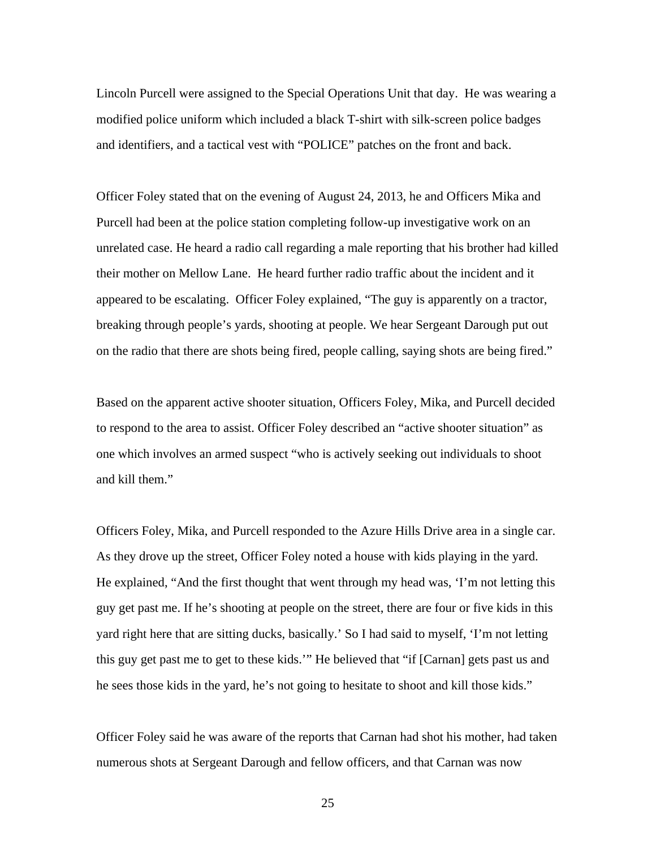Lincoln Purcell were assigned to the Special Operations Unit that day. He was wearing a modified police uniform which included a black T-shirt with silk-screen police badges and identifiers, and a tactical vest with "POLICE" patches on the front and back.

Officer Foley stated that on the evening of August 24, 2013, he and Officers Mika and Purcell had been at the police station completing follow-up investigative work on an unrelated case. He heard a radio call regarding a male reporting that his brother had killed their mother on Mellow Lane. He heard further radio traffic about the incident and it appeared to be escalating. Officer Foley explained, "The guy is apparently on a tractor, breaking through people's yards, shooting at people. We hear Sergeant Darough put out on the radio that there are shots being fired, people calling, saying shots are being fired."

Based on the apparent active shooter situation, Officers Foley, Mika, and Purcell decided to respond to the area to assist. Officer Foley described an "active shooter situation" as one which involves an armed suspect "who is actively seeking out individuals to shoot and kill them."

Officers Foley, Mika, and Purcell responded to the Azure Hills Drive area in a single car. As they drove up the street, Officer Foley noted a house with kids playing in the yard. He explained, "And the first thought that went through my head was, 'I'm not letting this guy get past me. If he's shooting at people on the street, there are four or five kids in this yard right here that are sitting ducks, basically.' So I had said to myself, 'I'm not letting this guy get past me to get to these kids.'" He believed that "if [Carnan] gets past us and he sees those kids in the yard, he's not going to hesitate to shoot and kill those kids."

Officer Foley said he was aware of the reports that Carnan had shot his mother, had taken numerous shots at Sergeant Darough and fellow officers, and that Carnan was now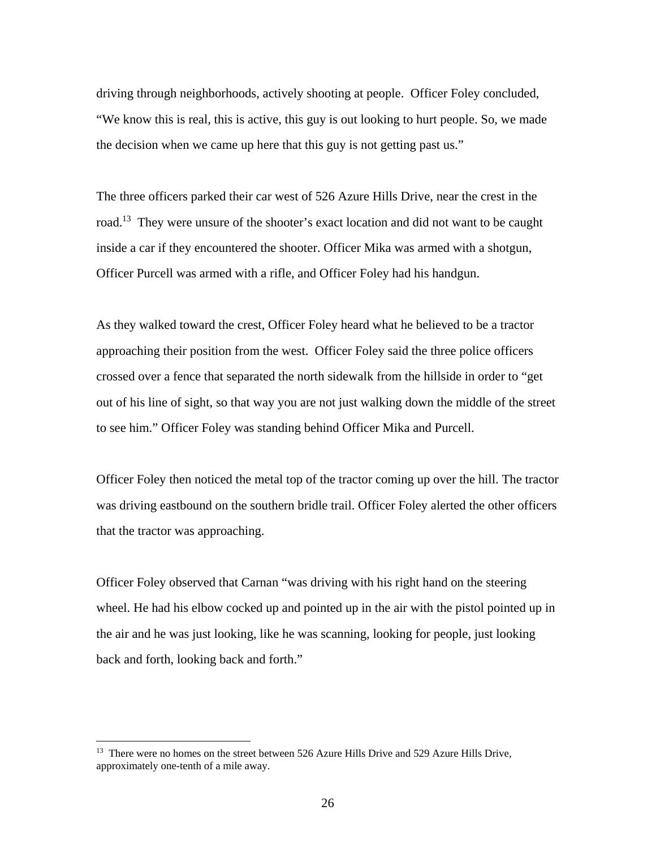driving through neighborhoods, actively shooting at people. Officer Foley concluded, "We know this is real, this is active, this guy is out looking to hurt people. So, we made the decision when we came up here that this guy is not getting past us."

The three officers parked their car west of 526 Azure Hills Drive, near the crest in the road.<sup>13</sup> They were unsure of the shooter's exact location and did not want to be caught inside a car if they encountered the shooter. Officer Mika was armed with a shotgun, Officer Purcell was armed with a rifle, and Officer Foley had his handgun.

As they walked toward the crest, Officer Foley heard what he believed to be a tractor approaching their position from the west. Officer Foley said the three police officers crossed over a fence that separated the north sidewalk from the hillside in order to "get out of his line of sight, so that way you are not just walking down the middle of the street to see him." Officer Foley was standing behind Officer Mika and Purcell.

Officer Foley then noticed the metal top of the tractor coming up over the hill. The tractor was driving eastbound on the southern bridle trail. Officer Foley alerted the other officers that the tractor was approaching.

Officer Foley observed that Carnan "was driving with his right hand on the steering wheel. He had his elbow cocked up and pointed up in the air with the pistol pointed up in the air and he was just looking, like he was scanning, looking for people, just looking back and forth, looking back and forth."

<sup>&</sup>lt;sup>13</sup> There were no homes on the street between 526 Azure Hills Drive and 529 Azure Hills Drive, approximately one-tenth of a mile away.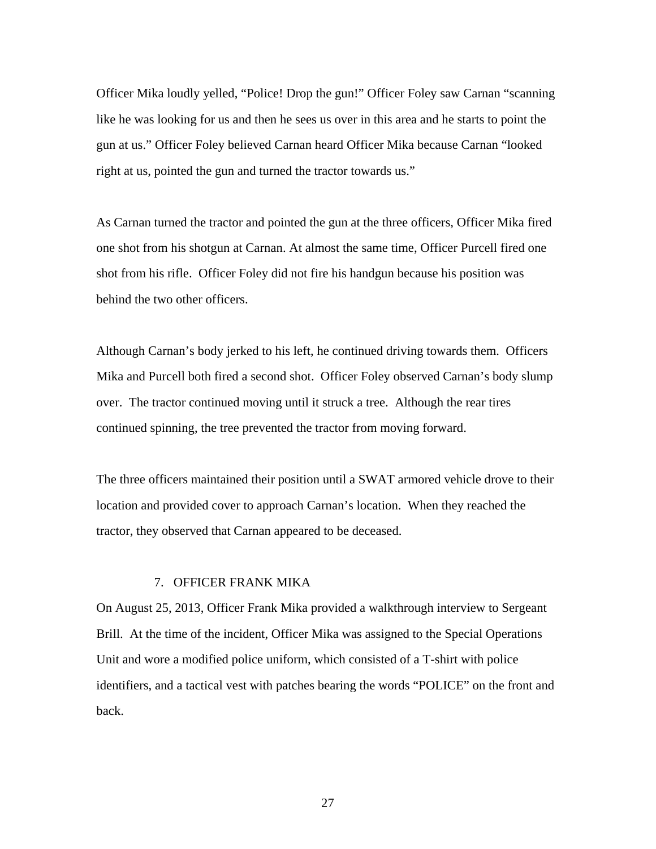Officer Mika loudly yelled, "Police! Drop the gun!" Officer Foley saw Carnan "scanning like he was looking for us and then he sees us over in this area and he starts to point the gun at us." Officer Foley believed Carnan heard Officer Mika because Carnan "looked right at us, pointed the gun and turned the tractor towards us."

As Carnan turned the tractor and pointed the gun at the three officers, Officer Mika fired one shot from his shotgun at Carnan. At almost the same time, Officer Purcell fired one shot from his rifle. Officer Foley did not fire his handgun because his position was behind the two other officers.

Although Carnan's body jerked to his left, he continued driving towards them. Officers Mika and Purcell both fired a second shot. Officer Foley observed Carnan's body slump over. The tractor continued moving until it struck a tree. Although the rear tires continued spinning, the tree prevented the tractor from moving forward.

The three officers maintained their position until a SWAT armored vehicle drove to their location and provided cover to approach Carnan's location. When they reached the tractor, they observed that Carnan appeared to be deceased.

#### 7. OFFICER FRANK MIKA

On August 25, 2013, Officer Frank Mika provided a walkthrough interview to Sergeant Brill. At the time of the incident, Officer Mika was assigned to the Special Operations Unit and wore a modified police uniform, which consisted of a T-shirt with police identifiers, and a tactical vest with patches bearing the words "POLICE" on the front and back.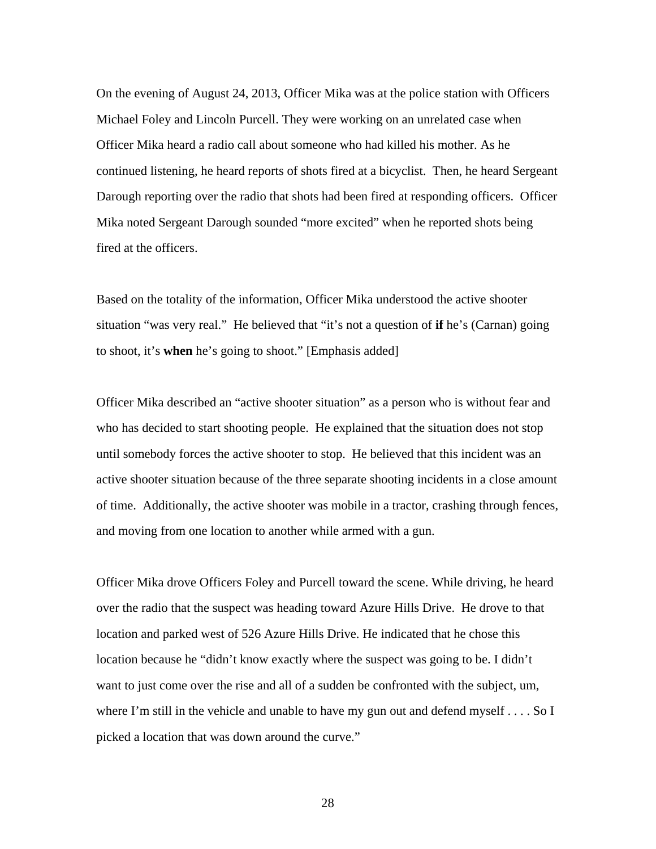On the evening of August 24, 2013, Officer Mika was at the police station with Officers Michael Foley and Lincoln Purcell. They were working on an unrelated case when Officer Mika heard a radio call about someone who had killed his mother. As he continued listening, he heard reports of shots fired at a bicyclist. Then, he heard Sergeant Darough reporting over the radio that shots had been fired at responding officers. Officer Mika noted Sergeant Darough sounded "more excited" when he reported shots being fired at the officers.

Based on the totality of the information, Officer Mika understood the active shooter situation "was very real." He believed that "it's not a question of **if** he's (Carnan) going to shoot, it's **when** he's going to shoot." [Emphasis added]

Officer Mika described an "active shooter situation" as a person who is without fear and who has decided to start shooting people. He explained that the situation does not stop until somebody forces the active shooter to stop. He believed that this incident was an active shooter situation because of the three separate shooting incidents in a close amount of time. Additionally, the active shooter was mobile in a tractor, crashing through fences, and moving from one location to another while armed with a gun.

Officer Mika drove Officers Foley and Purcell toward the scene. While driving, he heard over the radio that the suspect was heading toward Azure Hills Drive. He drove to that location and parked west of 526 Azure Hills Drive. He indicated that he chose this location because he "didn't know exactly where the suspect was going to be. I didn't want to just come over the rise and all of a sudden be confronted with the subject, um, where I'm still in the vehicle and unable to have my gun out and defend myself . . . . So I picked a location that was down around the curve."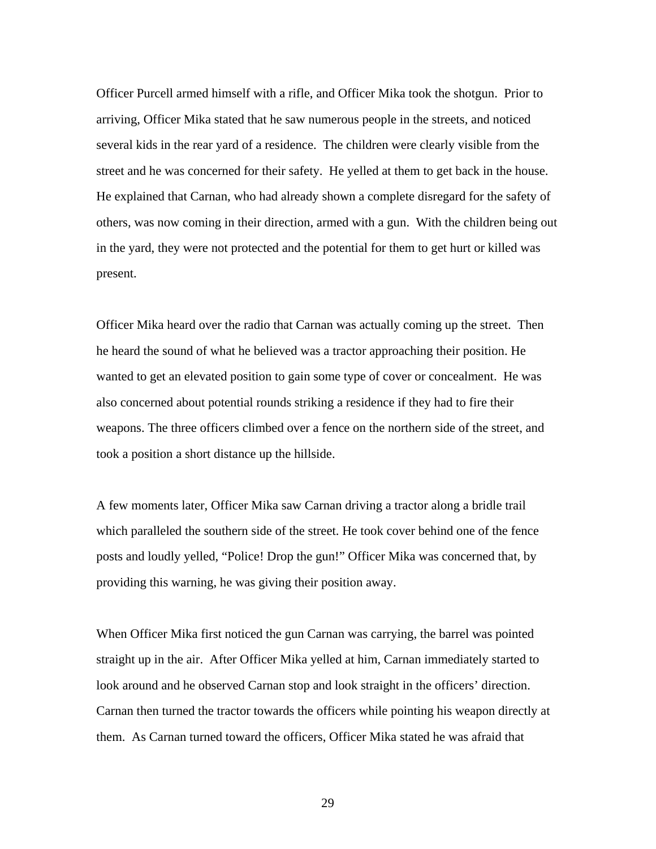Officer Purcell armed himself with a rifle, and Officer Mika took the shotgun. Prior to arriving, Officer Mika stated that he saw numerous people in the streets, and noticed several kids in the rear yard of a residence. The children were clearly visible from the street and he was concerned for their safety. He yelled at them to get back in the house. He explained that Carnan, who had already shown a complete disregard for the safety of others, was now coming in their direction, armed with a gun. With the children being out in the yard, they were not protected and the potential for them to get hurt or killed was present.

Officer Mika heard over the radio that Carnan was actually coming up the street. Then he heard the sound of what he believed was a tractor approaching their position. He wanted to get an elevated position to gain some type of cover or concealment. He was also concerned about potential rounds striking a residence if they had to fire their weapons. The three officers climbed over a fence on the northern side of the street, and took a position a short distance up the hillside.

A few moments later, Officer Mika saw Carnan driving a tractor along a bridle trail which paralleled the southern side of the street. He took cover behind one of the fence posts and loudly yelled, "Police! Drop the gun!" Officer Mika was concerned that, by providing this warning, he was giving their position away.

When Officer Mika first noticed the gun Carnan was carrying, the barrel was pointed straight up in the air. After Officer Mika yelled at him, Carnan immediately started to look around and he observed Carnan stop and look straight in the officers' direction. Carnan then turned the tractor towards the officers while pointing his weapon directly at them. As Carnan turned toward the officers, Officer Mika stated he was afraid that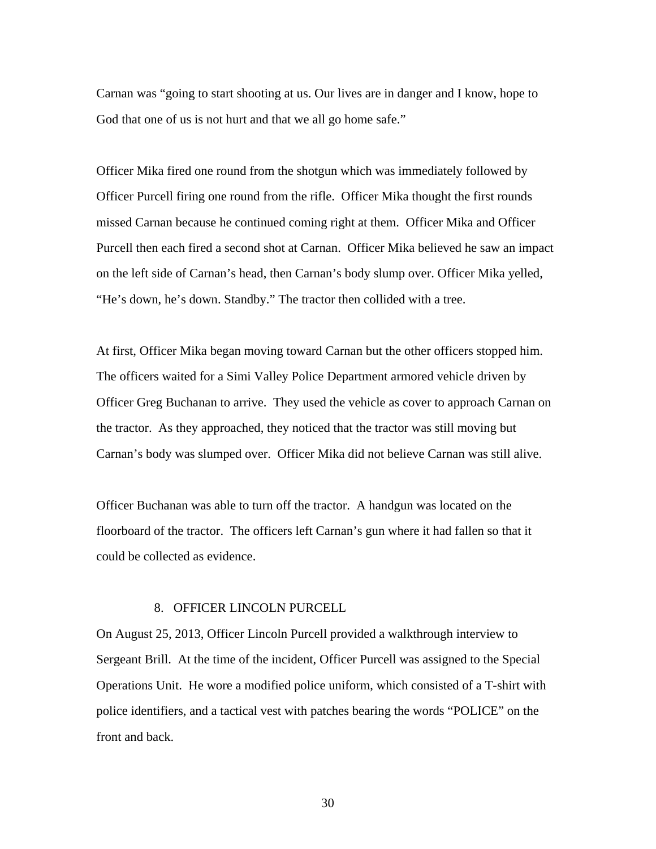Carnan was "going to start shooting at us. Our lives are in danger and I know, hope to God that one of us is not hurt and that we all go home safe."

Officer Mika fired one round from the shotgun which was immediately followed by Officer Purcell firing one round from the rifle. Officer Mika thought the first rounds missed Carnan because he continued coming right at them. Officer Mika and Officer Purcell then each fired a second shot at Carnan. Officer Mika believed he saw an impact on the left side of Carnan's head, then Carnan's body slump over. Officer Mika yelled, "He's down, he's down. Standby." The tractor then collided with a tree.

At first, Officer Mika began moving toward Carnan but the other officers stopped him. The officers waited for a Simi Valley Police Department armored vehicle driven by Officer Greg Buchanan to arrive. They used the vehicle as cover to approach Carnan on the tractor. As they approached, they noticed that the tractor was still moving but Carnan's body was slumped over. Officer Mika did not believe Carnan was still alive.

Officer Buchanan was able to turn off the tractor. A handgun was located on the floorboard of the tractor. The officers left Carnan's gun where it had fallen so that it could be collected as evidence.

#### 8. OFFICER LINCOLN PURCELL

On August 25, 2013, Officer Lincoln Purcell provided a walkthrough interview to Sergeant Brill. At the time of the incident, Officer Purcell was assigned to the Special Operations Unit. He wore a modified police uniform, which consisted of a T-shirt with police identifiers, and a tactical vest with patches bearing the words "POLICE" on the front and back.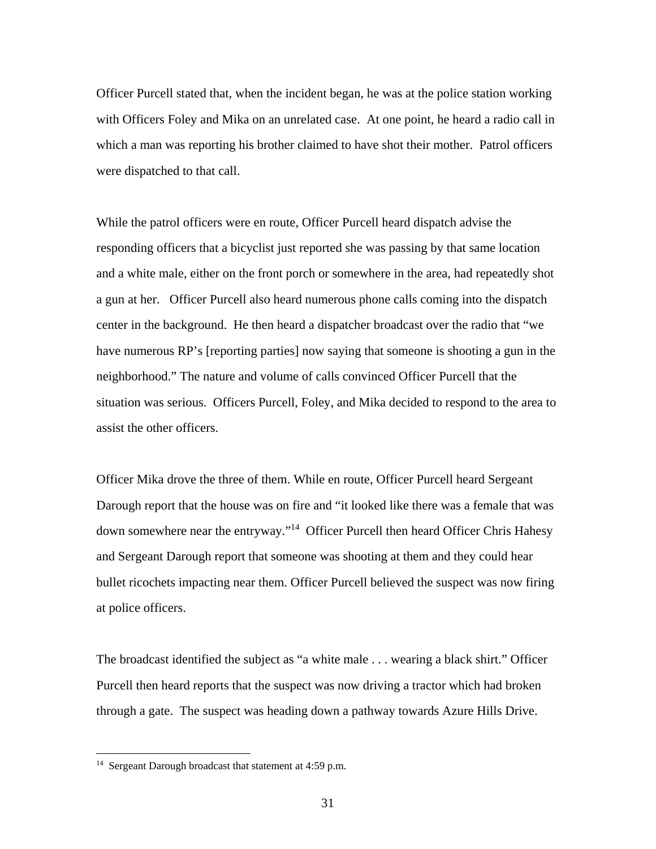Officer Purcell stated that, when the incident began, he was at the police station working with Officers Foley and Mika on an unrelated case. At one point, he heard a radio call in which a man was reporting his brother claimed to have shot their mother. Patrol officers were dispatched to that call.

While the patrol officers were en route, Officer Purcell heard dispatch advise the responding officers that a bicyclist just reported she was passing by that same location and a white male, either on the front porch or somewhere in the area, had repeatedly shot a gun at her. Officer Purcell also heard numerous phone calls coming into the dispatch center in the background. He then heard a dispatcher broadcast over the radio that "we have numerous RP's [reporting parties] now saying that someone is shooting a gun in the neighborhood." The nature and volume of calls convinced Officer Purcell that the situation was serious. Officers Purcell, Foley, and Mika decided to respond to the area to assist the other officers.

Officer Mika drove the three of them. While en route, Officer Purcell heard Sergeant Darough report that the house was on fire and "it looked like there was a female that was down somewhere near the entryway."14 Officer Purcell then heard Officer Chris Hahesy and Sergeant Darough report that someone was shooting at them and they could hear bullet ricochets impacting near them. Officer Purcell believed the suspect was now firing at police officers.

The broadcast identified the subject as "a white male . . . wearing a black shirt." Officer Purcell then heard reports that the suspect was now driving a tractor which had broken through a gate. The suspect was heading down a pathway towards Azure Hills Drive.

 $\overline{a}$ 

<sup>14</sup> Sergeant Darough broadcast that statement at 4:59 p.m.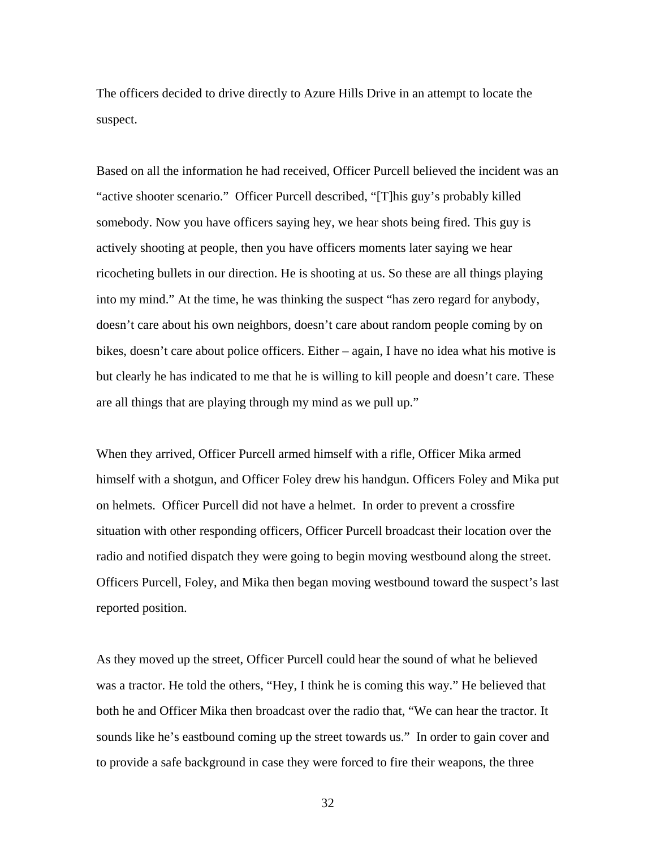The officers decided to drive directly to Azure Hills Drive in an attempt to locate the suspect.

Based on all the information he had received, Officer Purcell believed the incident was an "active shooter scenario." Officer Purcell described, "[T]his guy's probably killed somebody. Now you have officers saying hey, we hear shots being fired. This guy is actively shooting at people, then you have officers moments later saying we hear ricocheting bullets in our direction. He is shooting at us. So these are all things playing into my mind." At the time, he was thinking the suspect "has zero regard for anybody, doesn't care about his own neighbors, doesn't care about random people coming by on bikes, doesn't care about police officers. Either – again, I have no idea what his motive is but clearly he has indicated to me that he is willing to kill people and doesn't care. These are all things that are playing through my mind as we pull up."

When they arrived, Officer Purcell armed himself with a rifle, Officer Mika armed himself with a shotgun, and Officer Foley drew his handgun. Officers Foley and Mika put on helmets. Officer Purcell did not have a helmet. In order to prevent a crossfire situation with other responding officers, Officer Purcell broadcast their location over the radio and notified dispatch they were going to begin moving westbound along the street. Officers Purcell, Foley, and Mika then began moving westbound toward the suspect's last reported position.

As they moved up the street, Officer Purcell could hear the sound of what he believed was a tractor. He told the others, "Hey, I think he is coming this way." He believed that both he and Officer Mika then broadcast over the radio that, "We can hear the tractor. It sounds like he's eastbound coming up the street towards us." In order to gain cover and to provide a safe background in case they were forced to fire their weapons, the three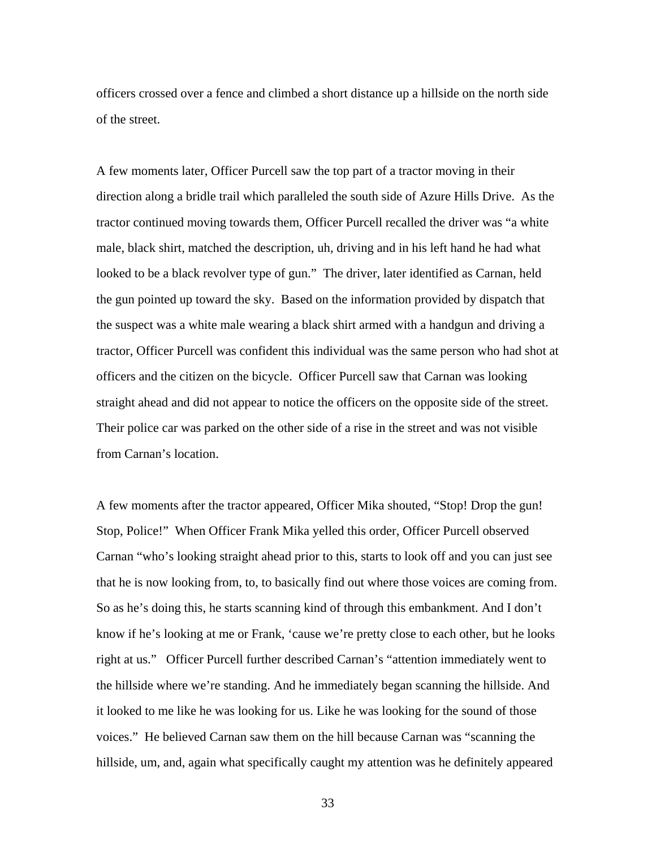officers crossed over a fence and climbed a short distance up a hillside on the north side of the street.

A few moments later, Officer Purcell saw the top part of a tractor moving in their direction along a bridle trail which paralleled the south side of Azure Hills Drive. As the tractor continued moving towards them, Officer Purcell recalled the driver was "a white male, black shirt, matched the description, uh, driving and in his left hand he had what looked to be a black revolver type of gun." The driver, later identified as Carnan, held the gun pointed up toward the sky. Based on the information provided by dispatch that the suspect was a white male wearing a black shirt armed with a handgun and driving a tractor, Officer Purcell was confident this individual was the same person who had shot at officers and the citizen on the bicycle. Officer Purcell saw that Carnan was looking straight ahead and did not appear to notice the officers on the opposite side of the street. Their police car was parked on the other side of a rise in the street and was not visible from Carnan's location.

A few moments after the tractor appeared, Officer Mika shouted, "Stop! Drop the gun! Stop, Police!" When Officer Frank Mika yelled this order, Officer Purcell observed Carnan "who's looking straight ahead prior to this, starts to look off and you can just see that he is now looking from, to, to basically find out where those voices are coming from. So as he's doing this, he starts scanning kind of through this embankment. And I don't know if he's looking at me or Frank, 'cause we're pretty close to each other, but he looks right at us." Officer Purcell further described Carnan's "attention immediately went to the hillside where we're standing. And he immediately began scanning the hillside. And it looked to me like he was looking for us. Like he was looking for the sound of those voices." He believed Carnan saw them on the hill because Carnan was "scanning the hillside, um, and, again what specifically caught my attention was he definitely appeared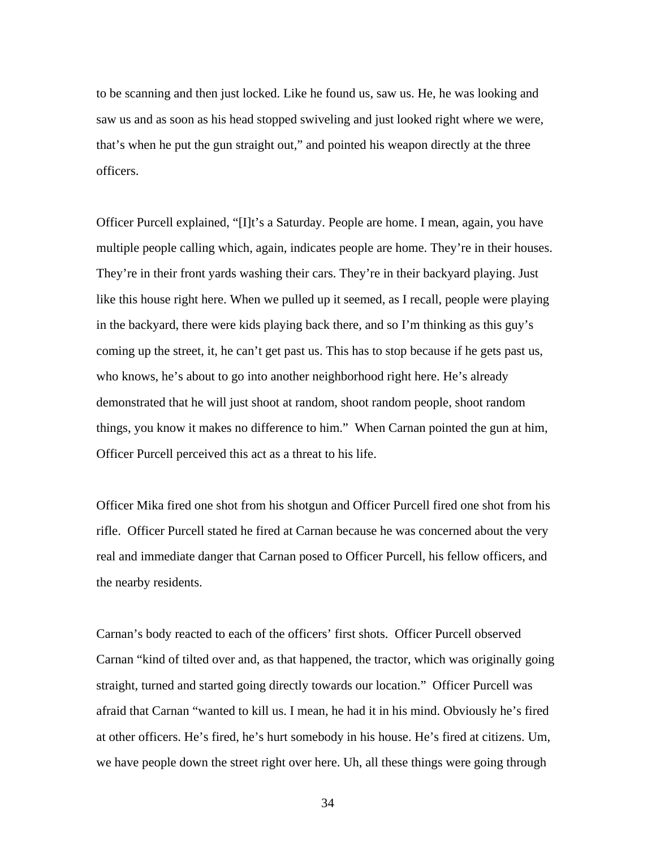to be scanning and then just locked. Like he found us, saw us. He, he was looking and saw us and as soon as his head stopped swiveling and just looked right where we were, that's when he put the gun straight out," and pointed his weapon directly at the three officers.

Officer Purcell explained, "[I]t's a Saturday. People are home. I mean, again, you have multiple people calling which, again, indicates people are home. They're in their houses. They're in their front yards washing their cars. They're in their backyard playing. Just like this house right here. When we pulled up it seemed, as I recall, people were playing in the backyard, there were kids playing back there, and so I'm thinking as this guy's coming up the street, it, he can't get past us. This has to stop because if he gets past us, who knows, he's about to go into another neighborhood right here. He's already demonstrated that he will just shoot at random, shoot random people, shoot random things, you know it makes no difference to him." When Carnan pointed the gun at him, Officer Purcell perceived this act as a threat to his life.

Officer Mika fired one shot from his shotgun and Officer Purcell fired one shot from his rifle. Officer Purcell stated he fired at Carnan because he was concerned about the very real and immediate danger that Carnan posed to Officer Purcell, his fellow officers, and the nearby residents.

Carnan's body reacted to each of the officers' first shots. Officer Purcell observed Carnan "kind of tilted over and, as that happened, the tractor, which was originally going straight, turned and started going directly towards our location." Officer Purcell was afraid that Carnan "wanted to kill us. I mean, he had it in his mind. Obviously he's fired at other officers. He's fired, he's hurt somebody in his house. He's fired at citizens. Um, we have people down the street right over here. Uh, all these things were going through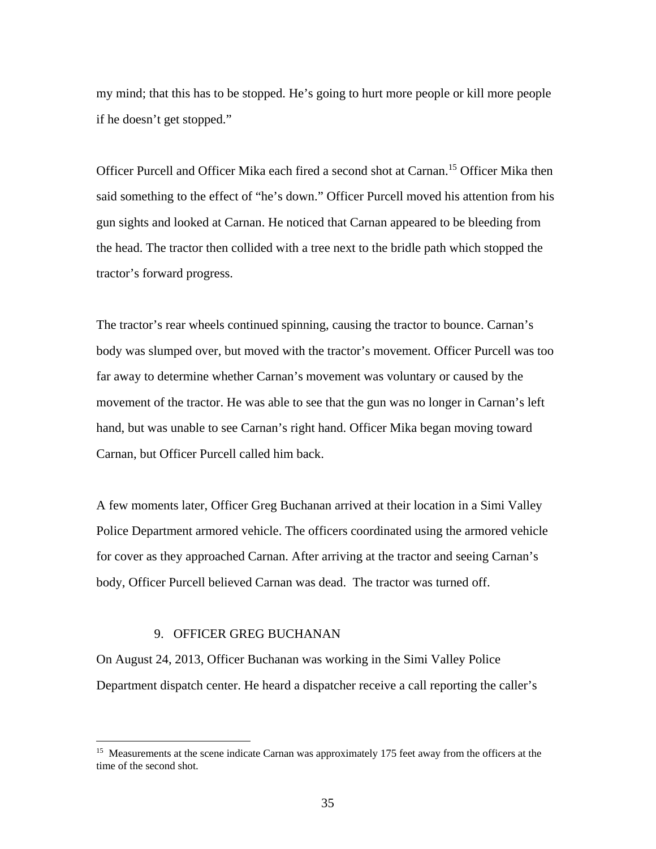my mind; that this has to be stopped. He's going to hurt more people or kill more people if he doesn't get stopped."

Officer Purcell and Officer Mika each fired a second shot at Carnan.15 Officer Mika then said something to the effect of "he's down." Officer Purcell moved his attention from his gun sights and looked at Carnan. He noticed that Carnan appeared to be bleeding from the head. The tractor then collided with a tree next to the bridle path which stopped the tractor's forward progress.

The tractor's rear wheels continued spinning, causing the tractor to bounce. Carnan's body was slumped over, but moved with the tractor's movement. Officer Purcell was too far away to determine whether Carnan's movement was voluntary or caused by the movement of the tractor. He was able to see that the gun was no longer in Carnan's left hand, but was unable to see Carnan's right hand. Officer Mika began moving toward Carnan, but Officer Purcell called him back.

A few moments later, Officer Greg Buchanan arrived at their location in a Simi Valley Police Department armored vehicle. The officers coordinated using the armored vehicle for cover as they approached Carnan. After arriving at the tractor and seeing Carnan's body, Officer Purcell believed Carnan was dead. The tractor was turned off.

## 9. OFFICER GREG BUCHANAN

 $\overline{a}$ 

On August 24, 2013, Officer Buchanan was working in the Simi Valley Police Department dispatch center. He heard a dispatcher receive a call reporting the caller's

<sup>&</sup>lt;sup>15</sup> Measurements at the scene indicate Carnan was approximately 175 feet away from the officers at the time of the second shot.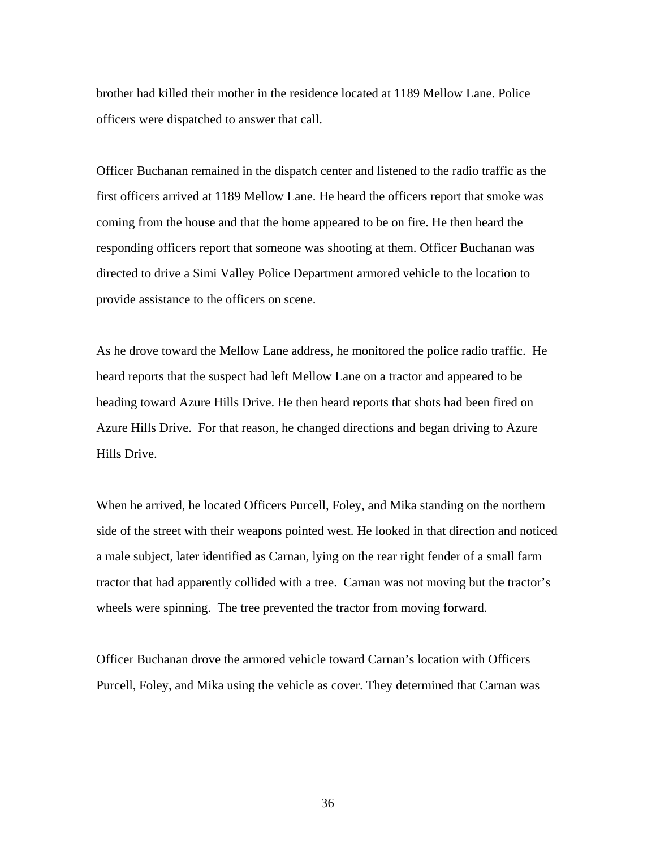brother had killed their mother in the residence located at 1189 Mellow Lane. Police officers were dispatched to answer that call.

Officer Buchanan remained in the dispatch center and listened to the radio traffic as the first officers arrived at 1189 Mellow Lane. He heard the officers report that smoke was coming from the house and that the home appeared to be on fire. He then heard the responding officers report that someone was shooting at them. Officer Buchanan was directed to drive a Simi Valley Police Department armored vehicle to the location to provide assistance to the officers on scene.

As he drove toward the Mellow Lane address, he monitored the police radio traffic. He heard reports that the suspect had left Mellow Lane on a tractor and appeared to be heading toward Azure Hills Drive. He then heard reports that shots had been fired on Azure Hills Drive. For that reason, he changed directions and began driving to Azure Hills Drive.

When he arrived, he located Officers Purcell, Foley, and Mika standing on the northern side of the street with their weapons pointed west. He looked in that direction and noticed a male subject, later identified as Carnan, lying on the rear right fender of a small farm tractor that had apparently collided with a tree. Carnan was not moving but the tractor's wheels were spinning. The tree prevented the tractor from moving forward.

Officer Buchanan drove the armored vehicle toward Carnan's location with Officers Purcell, Foley, and Mika using the vehicle as cover. They determined that Carnan was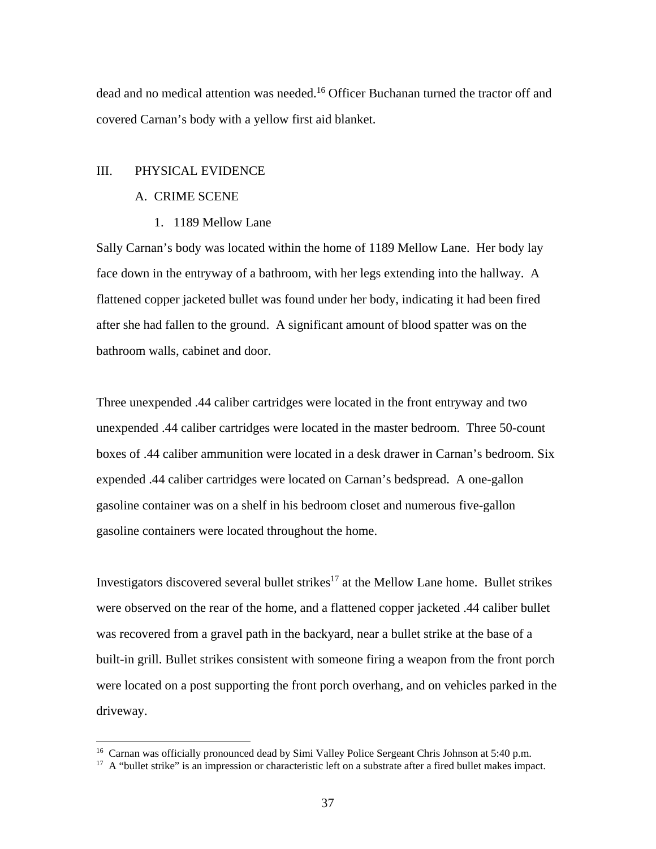dead and no medical attention was needed.<sup>16</sup> Officer Buchanan turned the tractor off and covered Carnan's body with a yellow first aid blanket.

## III. PHYSICAL EVIDENCE

1

### A. CRIME SCENE

1. 1189 Mellow Lane

Sally Carnan's body was located within the home of 1189 Mellow Lane. Her body lay face down in the entryway of a bathroom, with her legs extending into the hallway. A flattened copper jacketed bullet was found under her body, indicating it had been fired after she had fallen to the ground. A significant amount of blood spatter was on the bathroom walls, cabinet and door.

Three unexpended .44 caliber cartridges were located in the front entryway and two unexpended .44 caliber cartridges were located in the master bedroom. Three 50-count boxes of .44 caliber ammunition were located in a desk drawer in Carnan's bedroom. Six expended .44 caliber cartridges were located on Carnan's bedspread. A one-gallon gasoline container was on a shelf in his bedroom closet and numerous five-gallon gasoline containers were located throughout the home.

Investigators discovered several bullet strikes<sup>17</sup> at the Mellow Lane home. Bullet strikes were observed on the rear of the home, and a flattened copper jacketed .44 caliber bullet was recovered from a gravel path in the backyard, near a bullet strike at the base of a built-in grill. Bullet strikes consistent with someone firing a weapon from the front porch were located on a post supporting the front porch overhang, and on vehicles parked in the driveway.

<sup>&</sup>lt;sup>16</sup> Carnan was officially pronounced dead by Simi Valley Police Sergeant Chris Johnson at 5:40 p.m.

<sup>&</sup>lt;sup>17</sup> A "bullet strike" is an impression or characteristic left on a substrate after a fired bullet makes impact.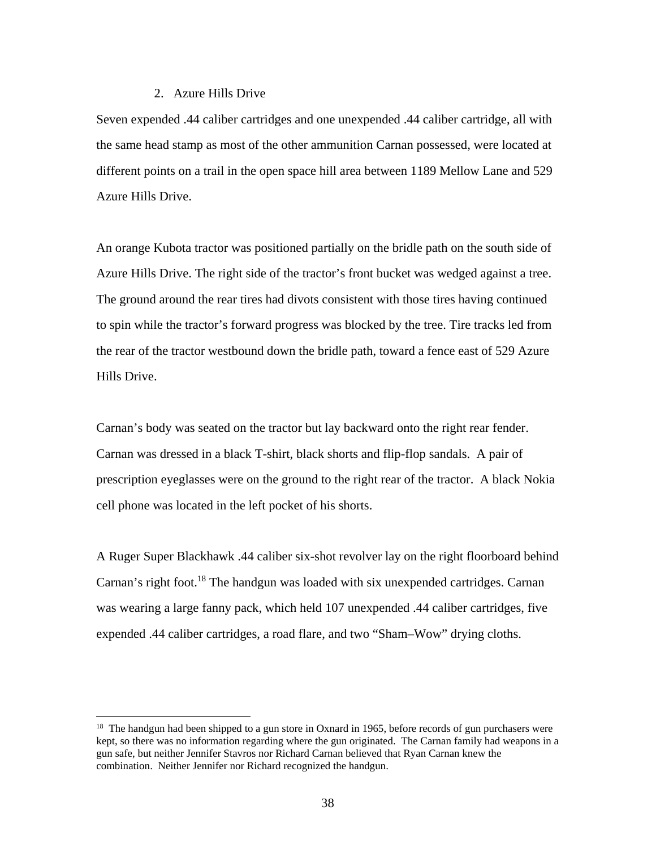## 2. Azure Hills Drive

 $\overline{a}$ 

Seven expended .44 caliber cartridges and one unexpended .44 caliber cartridge, all with the same head stamp as most of the other ammunition Carnan possessed, were located at different points on a trail in the open space hill area between 1189 Mellow Lane and 529 Azure Hills Drive.

An orange Kubota tractor was positioned partially on the bridle path on the south side of Azure Hills Drive. The right side of the tractor's front bucket was wedged against a tree. The ground around the rear tires had divots consistent with those tires having continued to spin while the tractor's forward progress was blocked by the tree. Tire tracks led from the rear of the tractor westbound down the bridle path, toward a fence east of 529 Azure Hills Drive.

Carnan's body was seated on the tractor but lay backward onto the right rear fender. Carnan was dressed in a black T-shirt, black shorts and flip-flop sandals. A pair of prescription eyeglasses were on the ground to the right rear of the tractor. A black Nokia cell phone was located in the left pocket of his shorts.

A Ruger Super Blackhawk .44 caliber six-shot revolver lay on the right floorboard behind Carnan's right foot.<sup>18</sup> The handgun was loaded with six unexpended cartridges. Carnan was wearing a large fanny pack, which held 107 unexpended .44 caliber cartridges, five expended .44 caliber cartridges, a road flare, and two "Sham–Wow" drying cloths.

<sup>&</sup>lt;sup>18</sup> The handgun had been shipped to a gun store in Oxnard in 1965, before records of gun purchasers were kept, so there was no information regarding where the gun originated. The Carnan family had weapons in a gun safe, but neither Jennifer Stavros nor Richard Carnan believed that Ryan Carnan knew the combination. Neither Jennifer nor Richard recognized the handgun.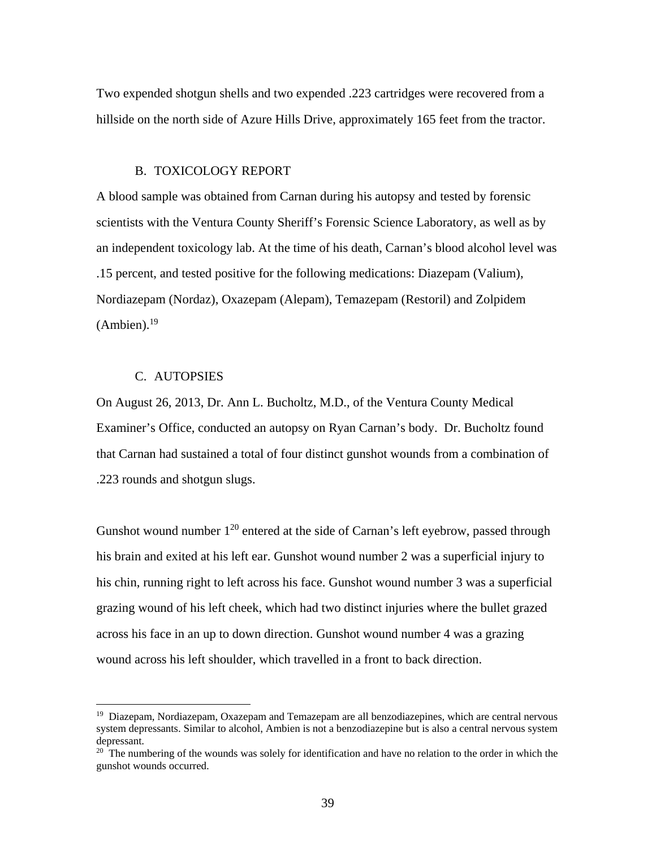Two expended shotgun shells and two expended .223 cartridges were recovered from a hillside on the north side of Azure Hills Drive, approximately 165 feet from the tractor.

#### B. TOXICOLOGY REPORT

A blood sample was obtained from Carnan during his autopsy and tested by forensic scientists with the Ventura County Sheriff's Forensic Science Laboratory, as well as by an independent toxicology lab. At the time of his death, Carnan's blood alcohol level was .15 percent, and tested positive for the following medications: Diazepam (Valium), Nordiazepam (Nordaz), Oxazepam (Alepam), Temazepam (Restoril) and Zolpidem  $(Ambien).<sup>19</sup>$ 

## C. AUTOPSIES

 $\overline{a}$ 

On August 26, 2013, Dr. Ann L. Bucholtz, M.D., of the Ventura County Medical Examiner's Office, conducted an autopsy on Ryan Carnan's body. Dr. Bucholtz found that Carnan had sustained a total of four distinct gunshot wounds from a combination of .223 rounds and shotgun slugs.

Gunshot wound number  $1^{20}$  entered at the side of Carnan's left eyebrow, passed through his brain and exited at his left ear. Gunshot wound number 2 was a superficial injury to his chin, running right to left across his face. Gunshot wound number 3 was a superficial grazing wound of his left cheek, which had two distinct injuries where the bullet grazed across his face in an up to down direction. Gunshot wound number 4 was a grazing wound across his left shoulder, which travelled in a front to back direction.

<sup>&</sup>lt;sup>19</sup> Diazepam, Nordiazepam, Oxazepam and Temazepam are all benzodiazepines, which are central nervous system depressants. Similar to alcohol, Ambien is not a benzodiazepine but is also a central nervous system depressant.

<sup>&</sup>lt;sup>20</sup> The numbering of the wounds was solely for identification and have no relation to the order in which the gunshot wounds occurred.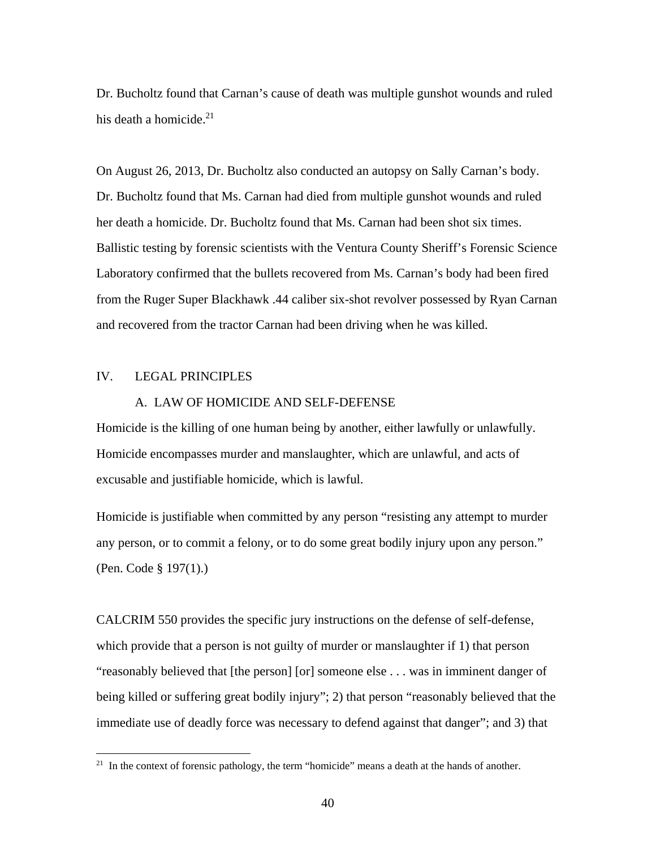Dr. Bucholtz found that Carnan's cause of death was multiple gunshot wounds and ruled his death a homicide. $2<sup>1</sup>$ 

On August 26, 2013, Dr. Bucholtz also conducted an autopsy on Sally Carnan's body. Dr. Bucholtz found that Ms. Carnan had died from multiple gunshot wounds and ruled her death a homicide. Dr. Bucholtz found that Ms. Carnan had been shot six times. Ballistic testing by forensic scientists with the Ventura County Sheriff's Forensic Science Laboratory confirmed that the bullets recovered from Ms. Carnan's body had been fired from the Ruger Super Blackhawk .44 caliber six-shot revolver possessed by Ryan Carnan and recovered from the tractor Carnan had been driving when he was killed.

## IV. LEGAL PRINCIPLES

 $\overline{a}$ 

#### A. LAW OF HOMICIDE AND SELF-DEFENSE

Homicide is the killing of one human being by another, either lawfully or unlawfully. Homicide encompasses murder and manslaughter, which are unlawful, and acts of excusable and justifiable homicide, which is lawful.

Homicide is justifiable when committed by any person "resisting any attempt to murder any person, or to commit a felony, or to do some great bodily injury upon any person." (Pen. Code § 197(1).)

CALCRIM 550 provides the specific jury instructions on the defense of self-defense, which provide that a person is not guilty of murder or manslaughter if 1) that person "reasonably believed that [the person] [or] someone else . . . was in imminent danger of being killed or suffering great bodily injury"; 2) that person "reasonably believed that the immediate use of deadly force was necessary to defend against that danger"; and 3) that

<sup>&</sup>lt;sup>21</sup> In the context of forensic pathology, the term "homicide" means a death at the hands of another.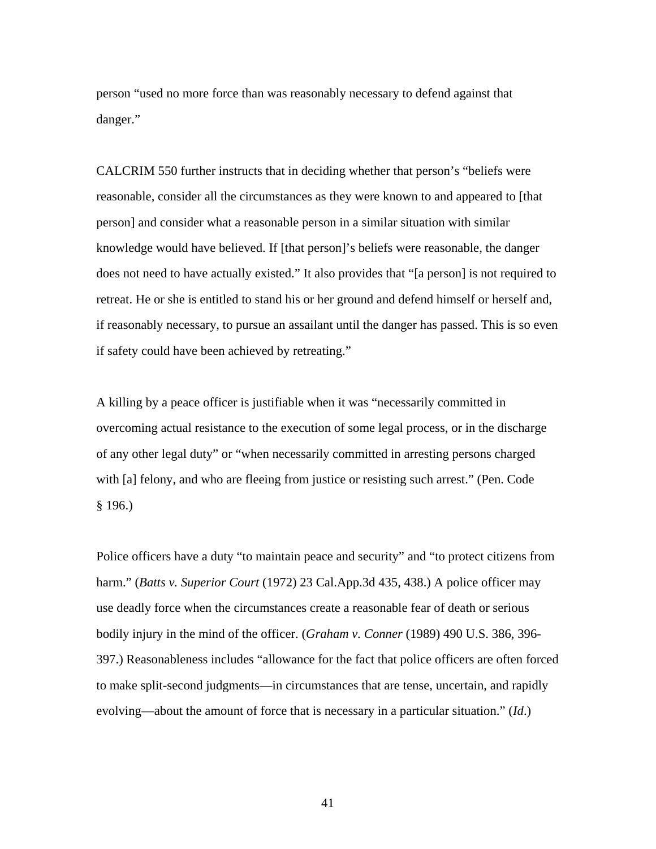person "used no more force than was reasonably necessary to defend against that danger."

CALCRIM 550 further instructs that in deciding whether that person's "beliefs were reasonable, consider all the circumstances as they were known to and appeared to [that person] and consider what a reasonable person in a similar situation with similar knowledge would have believed. If [that person]'s beliefs were reasonable, the danger does not need to have actually existed." It also provides that "[a person] is not required to retreat. He or she is entitled to stand his or her ground and defend himself or herself and, if reasonably necessary, to pursue an assailant until the danger has passed. This is so even if safety could have been achieved by retreating."

A killing by a peace officer is justifiable when it was "necessarily committed in overcoming actual resistance to the execution of some legal process, or in the discharge of any other legal duty" or "when necessarily committed in arresting persons charged with [a] felony, and who are fleeing from justice or resisting such arrest." (Pen. Code § 196.)

Police officers have a duty "to maintain peace and security" and "to protect citizens from harm." (*Batts v. Superior Court* (1972) 23 Cal.App.3d 435, 438.) A police officer may use deadly force when the circumstances create a reasonable fear of death or serious bodily injury in the mind of the officer. (*Graham v. Conner* (1989) 490 U.S. 386, 396- 397.) Reasonableness includes "allowance for the fact that police officers are often forced to make split-second judgments—in circumstances that are tense, uncertain, and rapidly evolving—about the amount of force that is necessary in a particular situation." (*Id*.)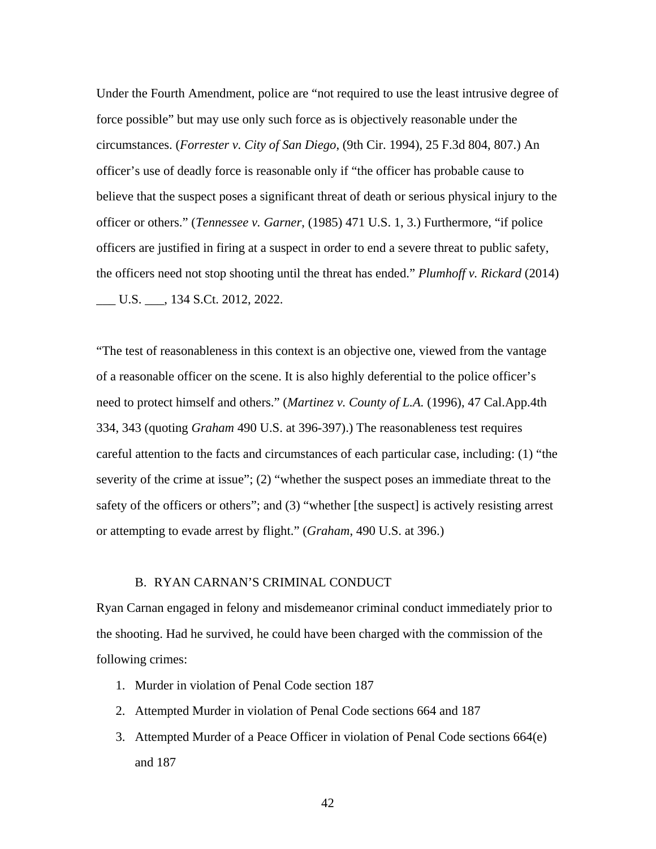Under the Fourth Amendment, police are "not required to use the least intrusive degree of force possible" but may use only such force as is objectively reasonable under the circumstances. (*Forrester v. City of San Diego*, (9th Cir. 1994), 25 F.3d 804, 807.) An officer's use of deadly force is reasonable only if "the officer has probable cause to believe that the suspect poses a significant threat of death or serious physical injury to the officer or others." (*Tennessee v. Garner*, (1985) 471 U.S. 1, 3.) Furthermore, "if police officers are justified in firing at a suspect in order to end a severe threat to public safety, the officers need not stop shooting until the threat has ended." *Plumhoff v. Rickard* (2014) \_\_\_ U.S. \_\_\_, 134 S.Ct. 2012, 2022.

"The test of reasonableness in this context is an objective one, viewed from the vantage of a reasonable officer on the scene. It is also highly deferential to the police officer's need to protect himself and others." (*Martinez v. County of L.A.* (1996), 47 Cal.App.4th 334, 343 (quoting *Graham* 490 U.S. at 396-397).) The reasonableness test requires careful attention to the facts and circumstances of each particular case, including: (1) "the severity of the crime at issue"; (2) "whether the suspect poses an immediate threat to the safety of the officers or others"; and (3) "whether [the suspect] is actively resisting arrest or attempting to evade arrest by flight." (*Graham*, 490 U.S. at 396.)

#### B. RYAN CARNAN'S CRIMINAL CONDUCT

Ryan Carnan engaged in felony and misdemeanor criminal conduct immediately prior to the shooting. Had he survived, he could have been charged with the commission of the following crimes:

- 1. Murder in violation of Penal Code section 187
- 2. Attempted Murder in violation of Penal Code sections 664 and 187
- 3. Attempted Murder of a Peace Officer in violation of Penal Code sections 664(e) and 187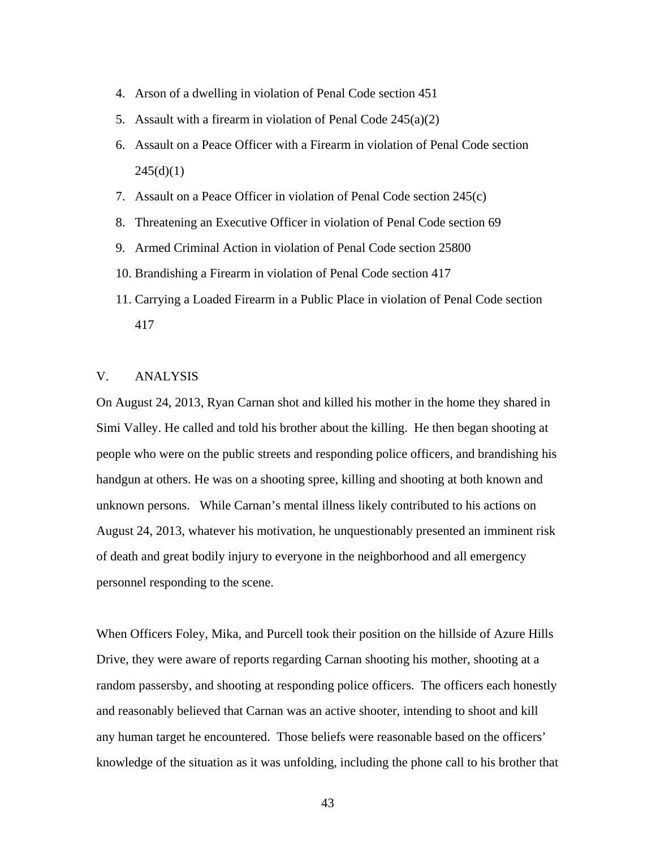- 4. Arson of a dwelling in violation of Penal Code section 451
- 5. Assault with a firearm in violation of Penal Code 245(a)(2)
- 6. Assault on a Peace Officer with a Firearm in violation of Penal Code section  $245(d)(1)$
- 7. Assault on a Peace Officer in violation of Penal Code section 245(c)
- 8. Threatening an Executive Officer in violation of Penal Code section 69
- 9. Armed Criminal Action in violation of Penal Code section 25800
- 10. Brandishing a Firearm in violation of Penal Code section 417
- 11. Carrying a Loaded Firearm in a Public Place in violation of Penal Code section 417

### V. ANALYSIS

On August 24, 2013, Ryan Carnan shot and killed his mother in the home they shared in Simi Valley. He called and told his brother about the killing. He then began shooting at people who were on the public streets and responding police officers, and brandishing his handgun at others. He was on a shooting spree, killing and shooting at both known and unknown persons. While Carnan's mental illness likely contributed to his actions on August 24, 2013, whatever his motivation, he unquestionably presented an imminent risk of death and great bodily injury to everyone in the neighborhood and all emergency personnel responding to the scene.

When Officers Foley, Mika, and Purcell took their position on the hillside of Azure Hills Drive, they were aware of reports regarding Carnan shooting his mother, shooting at a random passersby, and shooting at responding police officers. The officers each honestly and reasonably believed that Carnan was an active shooter, intending to shoot and kill any human target he encountered. Those beliefs were reasonable based on the officers' knowledge of the situation as it was unfolding, including the phone call to his brother that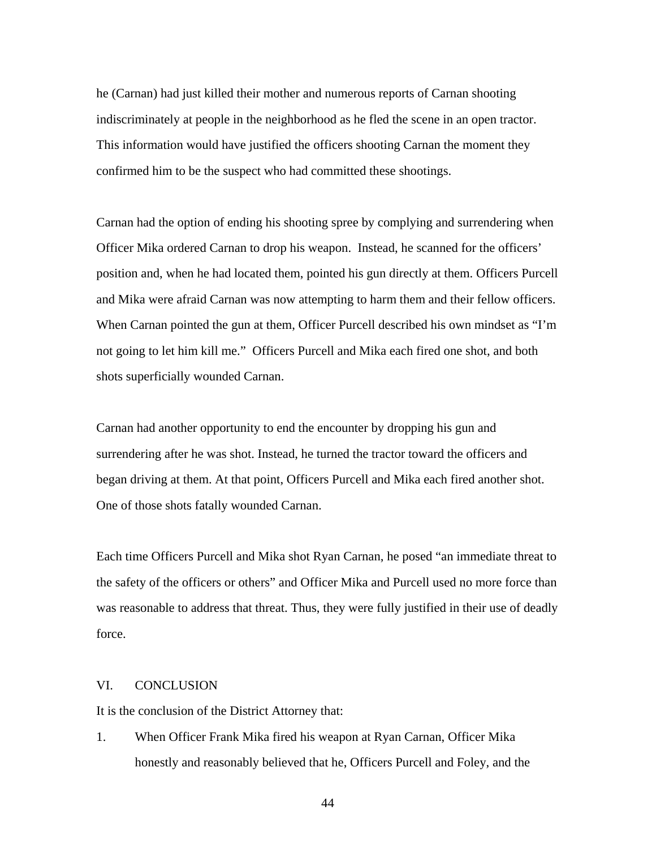he (Carnan) had just killed their mother and numerous reports of Carnan shooting indiscriminately at people in the neighborhood as he fled the scene in an open tractor. This information would have justified the officers shooting Carnan the moment they confirmed him to be the suspect who had committed these shootings.

Carnan had the option of ending his shooting spree by complying and surrendering when Officer Mika ordered Carnan to drop his weapon. Instead, he scanned for the officers' position and, when he had located them, pointed his gun directly at them. Officers Purcell and Mika were afraid Carnan was now attempting to harm them and their fellow officers. When Carnan pointed the gun at them, Officer Purcell described his own mindset as "I'm not going to let him kill me." Officers Purcell and Mika each fired one shot, and both shots superficially wounded Carnan.

Carnan had another opportunity to end the encounter by dropping his gun and surrendering after he was shot. Instead, he turned the tractor toward the officers and began driving at them. At that point, Officers Purcell and Mika each fired another shot. One of those shots fatally wounded Carnan.

Each time Officers Purcell and Mika shot Ryan Carnan, he posed "an immediate threat to the safety of the officers or others" and Officer Mika and Purcell used no more force than was reasonable to address that threat. Thus, they were fully justified in their use of deadly force.

## VI. CONCLUSION

It is the conclusion of the District Attorney that:

1. When Officer Frank Mika fired his weapon at Ryan Carnan, Officer Mika honestly and reasonably believed that he, Officers Purcell and Foley, and the